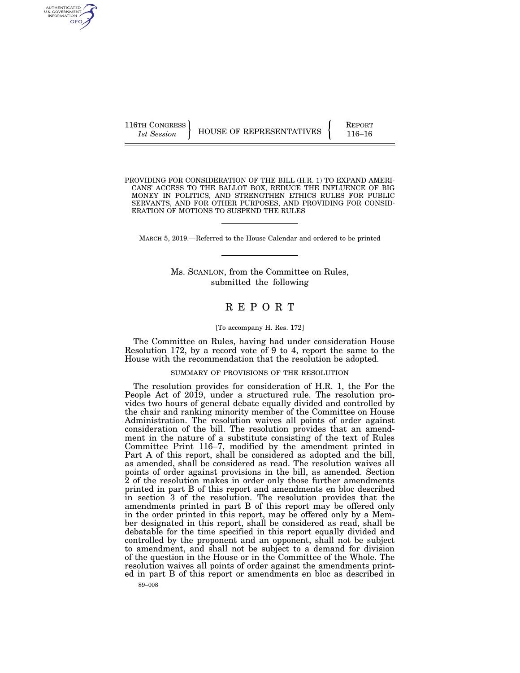116TH CONGRESS HOUSE OF REPRESENTATIVES **REPORT** 116–16

AUTHENTICATED<br>U.S. GOVERNMENT<br>INFORMATION GPO

PROVIDING FOR CONSIDERATION OF THE BILL (H.R. 1) TO EXPAND AMERI-CANS' ACCESS TO THE BALLOT BOX, REDUCE THE INFLUENCE OF BIG MONEY IN POLITICS, AND STRENGTHEN ETHICS RULES FOR PUBLIC SERVANTS, AND FOR OTHER PURPOSES, AND PROVIDING FOR CONSID-ERATION OF MOTIONS TO SUSPEND THE RULES

MARCH 5, 2019.—Referred to the House Calendar and ordered to be printed

Ms. SCANLON, from the Committee on Rules, submitted the following

## R E P O R T

#### [To accompany H. Res. 172]

The Committee on Rules, having had under consideration House Resolution 172, by a record vote of 9 to 4, report the same to the House with the recommendation that the resolution be adopted.

## SUMMARY OF PROVISIONS OF THE RESOLUTION

The resolution provides for consideration of H.R. 1, the For the People Act of 2019, under a structured rule. The resolution provides two hours of general debate equally divided and controlled by the chair and ranking minority member of the Committee on House Administration. The resolution waives all points of order against consideration of the bill. The resolution provides that an amendment in the nature of a substitute consisting of the text of Rules Committee Print 116–7, modified by the amendment printed in Part A of this report, shall be considered as adopted and the bill, as amended, shall be considered as read. The resolution waives all points of order against provisions in the bill, as amended. Section 2 of the resolution makes in order only those further amendments printed in part B of this report and amendments en bloc described in section 3 of the resolution. The resolution provides that the amendments printed in part B of this report may be offered only in the order printed in this report, may be offered only by a Member designated in this report, shall be considered as read, shall be debatable for the time specified in this report equally divided and controlled by the proponent and an opponent, shall not be subject to amendment, and shall not be subject to a demand for division of the question in the House or in the Committee of the Whole. The resolution waives all points of order against the amendments printed in part B of this report or amendments en bloc as described in

89–008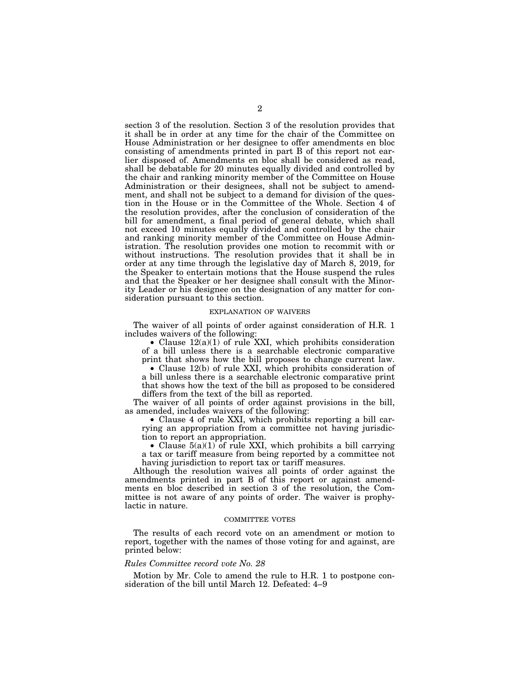section 3 of the resolution. Section 3 of the resolution provides that it shall be in order at any time for the chair of the Committee on House Administration or her designee to offer amendments en bloc consisting of amendments printed in part B of this report not earlier disposed of. Amendments en bloc shall be considered as read, shall be debatable for 20 minutes equally divided and controlled by the chair and ranking minority member of the Committee on House Administration or their designees, shall not be subject to amendment, and shall not be subject to a demand for division of the question in the House or in the Committee of the Whole. Section 4 of the resolution provides, after the conclusion of consideration of the bill for amendment, a final period of general debate, which shall not exceed 10 minutes equally divided and controlled by the chair and ranking minority member of the Committee on House Administration. The resolution provides one motion to recommit with or without instructions. The resolution provides that it shall be in order at any time through the legislative day of March 8, 2019, for the Speaker to entertain motions that the House suspend the rules and that the Speaker or her designee shall consult with the Minority Leader or his designee on the designation of any matter for consideration pursuant to this section.

#### EXPLANATION OF WAIVERS

The waiver of all points of order against consideration of H.R. 1 includes waivers of the following:

• Clause  $12(a)(1)$  of rule XXI, which prohibits consideration of a bill unless there is a searchable electronic comparative print that shows how the bill proposes to change current law.

• Clause 12(b) of rule XXI, which prohibits consideration of a bill unless there is a searchable electronic comparative print that shows how the text of the bill as proposed to be considered differs from the text of the bill as reported.

The waiver of all points of order against provisions in the bill, as amended, includes waivers of the following:

• Clause 4 of rule XXI, which prohibits reporting a bill carrying an appropriation from a committee not having jurisdiction to report an appropriation.

• Clause  $5(a)(1)$  of rule XXI, which prohibits a bill carrying a tax or tariff measure from being reported by a committee not having jurisdiction to report tax or tariff measures.

Although the resolution waives all points of order against the amendments printed in part B of this report or against amendments en bloc described in section 3 of the resolution, the Committee is not aware of any points of order. The waiver is prophylactic in nature.

#### COMMITTEE VOTES

The results of each record vote on an amendment or motion to report, together with the names of those voting for and against, are printed below:

### *Rules Committee record vote No. 28*

Motion by Mr. Cole to amend the rule to H.R. 1 to postpone consideration of the bill until March 12. Defeated: 4–9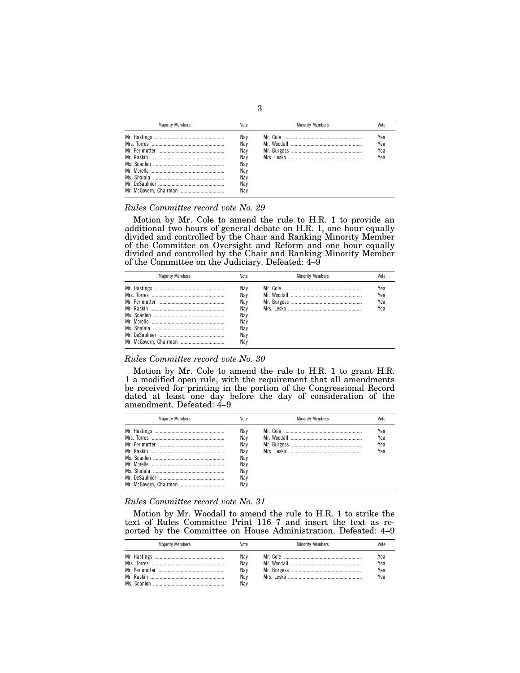| <b>Maiority Members</b> | Vote                                                        | <b>Minority Members</b> | Vote                     |
|-------------------------|-------------------------------------------------------------|-------------------------|--------------------------|
|                         | Nav<br>Nav<br>Nav<br>Nav<br>Nay<br>Nav<br>Nav<br>Nav<br>Nav |                         | Yea<br>Yea<br>Yea<br>Yea |

#### *Rules Committee record vote No. 29*

Motion by Mr. Cole to amend the rule to H.R. 1 to provide an additional two hours of general debate on H.R. 1, one hour equally divided and controlled by the Chair and Ranking Minority Member of the Committee on Oversight and Reform and one hour equally divided and controlled by the Chair and Ranking Minority Member of the Committee on the Judiciary. Defeated: 4–9

| <b>Maiority Members</b> | Vote                                                        | <b>Minority Members</b> | Vote                     |
|-------------------------|-------------------------------------------------------------|-------------------------|--------------------------|
|                         | Nav<br>Nav<br>Nav<br>Nav<br>Nav<br>Nav<br>Nav<br>Nay<br>Nav |                         | Yea<br>Yea<br>Yea<br>Yea |

## *Rules Committee record vote No. 30*

Motion by Mr. Cole to amend the rule to H.R. 1 to grant H.R. 1 a modified open rule, with the requirement that all amendments be received for printing in the portion of the Congressional Record dated at least one day before the day of consideration of the amendment. Defeated: 4–9

| <b>Maiority Members</b> | Vote                                                        | <b>Minority Members</b> |                          |
|-------------------------|-------------------------------------------------------------|-------------------------|--------------------------|
|                         | Nav<br>Nav<br>Nav<br>Nav<br>Nav<br>Nav<br>Nav<br>Nav<br>Nav |                         | Yea<br>Yea<br>Yea<br>Yea |

#### *Rules Committee record vote No. 31*

Motion by Mr. Woodall to amend the rule to H.R. 1 to strike the text of Rules Committee Print 116–7 and insert the text as reported by the Committee on House Administration. Defeated: 4–9

| <b>Majority Members</b> | Vote                            | <b>Minority Members</b> | /ote                     |
|-------------------------|---------------------------------|-------------------------|--------------------------|
|                         | Nay<br>Nay<br>Nay<br>Nay<br>Nay |                         | Yea<br>Yea<br>Yea<br>Yea |

3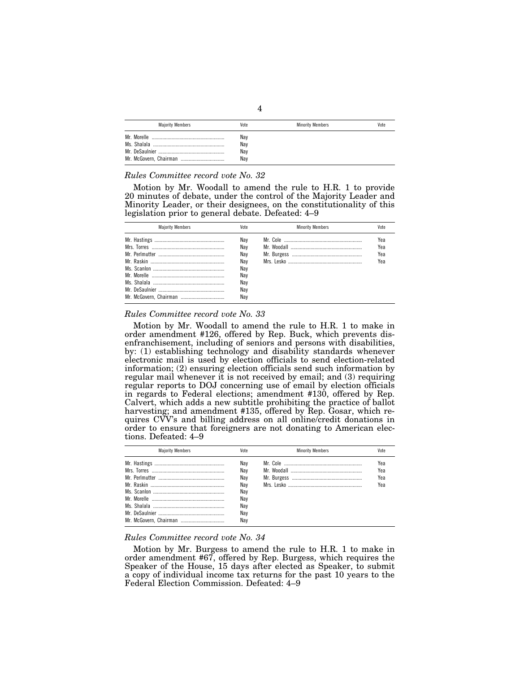| <b>Majority Members</b> | Vote                     | <b>Minority Members</b> | Vote |
|-------------------------|--------------------------|-------------------------|------|
|                         | Nay<br>Nay<br>Nay<br>Nay |                         |      |

## *Rules Committee record vote No. 32*

Motion by Mr. Woodall to amend the rule to H.R. 1 to provide 20 minutes of debate, under the control of the Majority Leader and Minority Leader, or their designees, on the constitutionality of this legislation prior to general debate. Defeated: 4–9

| <b>Maiority Members</b> | Vote | <b>Minority Members</b> | Vote |
|-------------------------|------|-------------------------|------|
|                         | Nav  |                         | Yea  |
|                         | Nav  |                         | Yea  |
|                         | Nav  |                         | Yea  |
|                         | Nav  |                         | Yea  |
|                         | Nay  |                         |      |
|                         | Nav  |                         |      |
|                         | Nav  |                         |      |
|                         | Nay  |                         |      |
|                         | Nav  |                         |      |

#### *Rules Committee record vote No. 33*

Motion by Mr. Woodall to amend the rule to H.R. 1 to make in order amendment #126, offered by Rep. Buck, which prevents disenfranchisement, including of seniors and persons with disabilities, by: (1) establishing technology and disability standards whenever electronic mail is used by election officials to send election-related information; (2) ensuring election officials send such information by regular mail whenever it is not received by email; and (3) requiring regular reports to DOJ concerning use of email by election officials in regards to Federal elections; amendment #130, offered by Rep. Calvert, which adds a new subtitle prohibiting the practice of ballot harvesting; and amendment #135, offered by Rep. Gosar, which requires CVV's and billing address on all online/credit donations in order to ensure that foreigners are not donating to American elections. Defeated: 4–9

| <b>Maiority Members</b> | Vote | <b>Minority Members</b> | Vote |
|-------------------------|------|-------------------------|------|
|                         | Nav  |                         | Yea  |
|                         | Nav  |                         | Yea  |
|                         | Nav  |                         | Yea  |
|                         | Nav  |                         | Yea  |
|                         | Nav  |                         |      |
|                         | Nav  |                         |      |
|                         | Nav  |                         |      |
|                         | Nav  |                         |      |
|                         | Nav  |                         |      |

## *Rules Committee record vote No. 34*

Motion by Mr. Burgess to amend the rule to H.R. 1 to make in order amendment #67, offered by Rep. Burgess, which requires the Speaker of the House, 15 days after elected as Speaker, to submit a copy of individual income tax returns for the past 10 years to the Federal Election Commission. Defeated: 4–9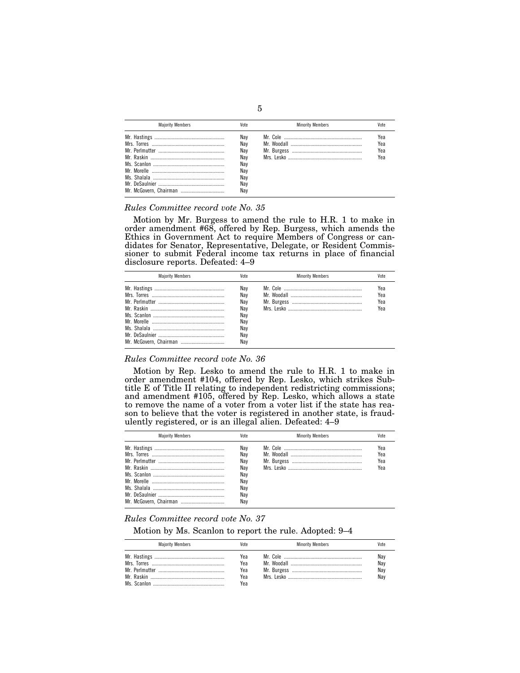| <b>Maiority Members</b> | Vote                                                        | <b>Minority Members</b> |                          |
|-------------------------|-------------------------------------------------------------|-------------------------|--------------------------|
|                         | Nav<br>Nav<br>Nav<br>Nav<br>Nay<br>Nav<br>Nav<br>Nav<br>Nav |                         | Yea<br>Yea<br>Yea<br>Yea |

#### *Rules Committee record vote No. 35*

Motion by Mr. Burgess to amend the rule to H.R. 1 to make in order amendment #68, offered by Rep. Burgess, which amends the Ethics in Government Act to require Members of Congress or candidates for Senator, Representative, Delegate, or Resident Commissioner to submit Federal income tax returns in place of financial disclosure reports. Defeated: 4–9

| <b>Maiority Members</b> | Vote                                                        | <b>Minority Members</b> | Vote                     |
|-------------------------|-------------------------------------------------------------|-------------------------|--------------------------|
|                         | Nav<br>Nav<br>Nav<br>Nav<br>Nav<br>Nav<br>Nav<br>Nay<br>Nav |                         | Yea<br>Yea<br>Yea<br>Yea |

## *Rules Committee record vote No. 36*

Motion by Rep. Lesko to amend the rule to H.R. 1 to make in order amendment #104, offered by Rep. Lesko, which strikes Subtitle E of Title II relating to independent redistricting commissions; and amendment #105, offered by Rep. Lesko, which allows a state to remove the name of a voter from a voter list if the state has reason to believe that the voter is registered in another state, is fraudulently registered, or is an illegal alien. Defeated: 4–9

| <b>Maiority Members</b> | Vote                                                 | <b>Minority Members</b> | Vote                     |
|-------------------------|------------------------------------------------------|-------------------------|--------------------------|
|                         | Nav<br>Nav<br>Nav<br>Nav<br>Nay<br>Nay<br>Nav<br>Nay |                         | Yea<br>Yea<br>Yea<br>Yea |
|                         | Nav                                                  |                         |                          |

## *Rules Committee record vote No. 37*

Motion by Ms. Scanlon to report the rule. Adopted: 9–4

| <b>Majority Members</b> | Vote                            | <b>Minority Members</b> |                          |
|-------------------------|---------------------------------|-------------------------|--------------------------|
|                         | Yea<br>Yea<br>Yea<br>Yea<br>Yea |                         | Nay<br>Nav<br>Nay<br>Nav |

## 5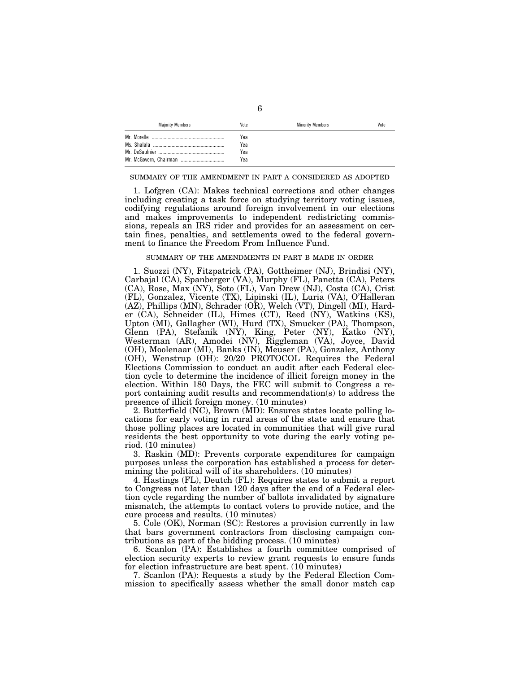| <b>Majority Members</b> | Vote | <b>Minority Members</b> | Vote |
|-------------------------|------|-------------------------|------|
| Mr Morelle              | Yea  |                         |      |
|                         | Yea  |                         |      |
|                         | Yea  |                         |      |
|                         | Yea  |                         |      |

#### SUMMARY OF THE AMENDMENT IN PART A CONSIDERED AS ADOPTED

1. Lofgren (CA): Makes technical corrections and other changes including creating a task force on studying territory voting issues, codifying regulations around foreign involvement in our elections and makes improvements to independent redistricting commissions, repeals an IRS rider and provides for an assessment on certain fines, penalties, and settlements owed to the federal government to finance the Freedom From Influence Fund.

#### SUMMARY OF THE AMENDMENTS IN PART B MADE IN ORDER

1. Suozzi (NY), Fitzpatrick (PA), Gottheimer (NJ), Brindisi (NY), Carbajal (CA), Spanberger (VA), Murphy (FL), Panetta (CA), Peters (CA), Rose, Max (NY), Soto (FL), Van Drew (NJ), Costa (CA), Crist (FL), Gonzalez, Vicente (TX), Lipinski (IL), Luria (VA), O'Halleran (AZ), Phillips (MN), Schrader (OR), Welch (VT), Dingell (MI), Harder (CA), Schneider (IL), Himes (CT), Reed (NY), Watkins (KS), Upton (MI), Gallagher (WI), Hurd (TX), Smucker (PA), Thompson, Glenn (PA), Stefanik (NY), King, Peter (NY), Katko (NY), Westerman (AR), Amodei (NV), Riggleman (VA), Joyce, David (OH), Moolenaar (MI), Banks (IN), Meuser (PA), Gonzalez, Anthony (OH), Wenstrup (OH): 20/20 PROTOCOL Requires the Federal Elections Commission to conduct an audit after each Federal election cycle to determine the incidence of illicit foreign money in the election. Within 180 Days, the FEC will submit to Congress a report containing audit results and recommendation(s) to address the presence of illicit foreign money. (10 minutes)

2. Butterfield (NC), Brown (MD): Ensures states locate polling locations for early voting in rural areas of the state and ensure that those polling places are located in communities that will give rural residents the best opportunity to vote during the early voting period. (10 minutes)

3. Raskin (MD): Prevents corporate expenditures for campaign purposes unless the corporation has established a process for determining the political will of its shareholders. (10 minutes)

4. Hastings (FL), Deutch (FL): Requires states to submit a report to Congress not later than 120 days after the end of a Federal election cycle regarding the number of ballots invalidated by signature mismatch, the attempts to contact voters to provide notice, and the cure process and results. (10 minutes)

5. Cole (OK), Norman (SC): Restores a provision currently in law that bars government contractors from disclosing campaign contributions as part of the bidding process. (10 minutes)

6. Scanlon (PA): Establishes a fourth committee comprised of election security experts to review grant requests to ensure funds for election infrastructure are best spent. (10 minutes)

7. Scanlon (PA): Requests a study by the Federal Election Commission to specifically assess whether the small donor match cap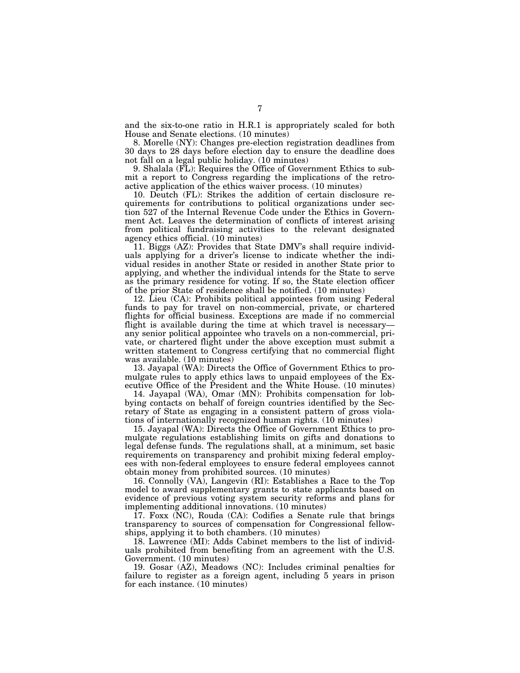and the six-to-one ratio in H.R.1 is appropriately scaled for both House and Senate elections. (10 minutes)

8. Morelle (NY): Changes pre-election registration deadlines from 30 days to 28 days before election day to ensure the deadline does not fall on a legal public holiday. (10 minutes)

9. Shalala (FL): Requires the Office of Government Ethics to submit a report to Congress regarding the implications of the retroactive application of the ethics waiver process. (10 minutes)

10. Deutch (FL): Strikes the addition of certain disclosure requirements for contributions to political organizations under section 527 of the Internal Revenue Code under the Ethics in Government Act. Leaves the determination of conflicts of interest arising from political fundraising activities to the relevant designated agency ethics official. (10 minutes)

11. Biggs (AZ): Provides that State DMV's shall require individuals applying for a driver's license to indicate whether the individual resides in another State or resided in another State prior to applying, and whether the individual intends for the State to serve as the primary residence for voting. If so, the State election officer of the prior State of residence shall be notified. (10 minutes)

12. Lieu (CA): Prohibits political appointees from using Federal funds to pay for travel on non-commercial, private, or chartered flights for official business. Exceptions are made if no commercial flight is available during the time at which travel is necessary any senior political appointee who travels on a non-commercial, private, or chartered flight under the above exception must submit a written statement to Congress certifying that no commercial flight was available. (10 minutes)

13. Jayapal (WA): Directs the Office of Government Ethics to promulgate rules to apply ethics laws to unpaid employees of the Executive Office of the President and the White House. (10 minutes)

14. Jayapal (WA), Omar (MN): Prohibits compensation for lobbying contacts on behalf of foreign countries identified by the Secretary of State as engaging in a consistent pattern of gross violations of internationally recognized human rights. (10 minutes)

15. Jayapal (WA): Directs the Office of Government Ethics to promulgate regulations establishing limits on gifts and donations to legal defense funds. The regulations shall, at a minimum, set basic requirements on transparency and prohibit mixing federal employees with non-federal employees to ensure federal employees cannot obtain money from prohibited sources. (10 minutes)

16. Connolly (VA), Langevin (RI): Establishes a Race to the Top model to award supplementary grants to state applicants based on evidence of previous voting system security reforms and plans for implementing additional innovations. (10 minutes)

17. Foxx (NC), Rouda (CA): Codifies a Senate rule that brings transparency to sources of compensation for Congressional fellowships, applying it to both chambers. (10 minutes)

18. Lawrence (MI): Adds Cabinet members to the list of individuals prohibited from benefiting from an agreement with the U.S. Government. (10 minutes)

19. Gosar (AZ), Meadows (NC): Includes criminal penalties for failure to register as a foreign agent, including 5 years in prison for each instance. (10 minutes)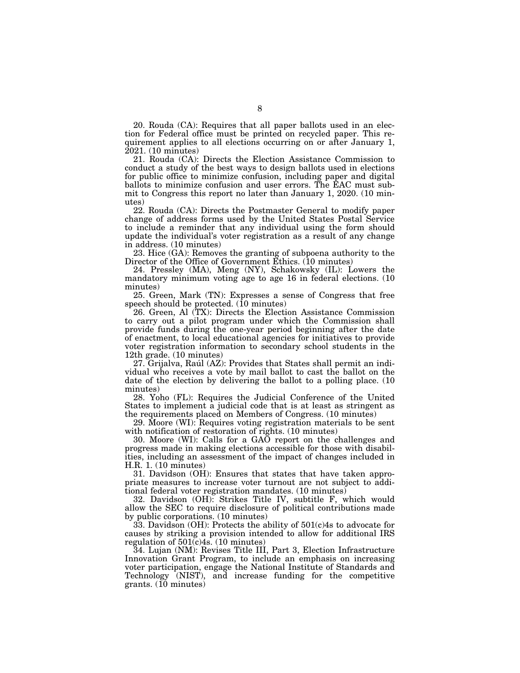20. Rouda (CA): Requires that all paper ballots used in an election for Federal office must be printed on recycled paper. This requirement applies to all elections occurring on or after January 1, 2021. (10 minutes)

21. Rouda (CA): Directs the Election Assistance Commission to conduct a study of the best ways to design ballots used in elections for public office to minimize confusion, including paper and digital ballots to minimize confusion and user errors. The EAC must submit to Congress this report no later than January 1, 2020. (10 minutes)

22. Rouda (CA): Directs the Postmaster General to modify paper change of address forms used by the United States Postal Service to include a reminder that any individual using the form should update the individual's voter registration as a result of any change in address. (10 minutes)

23. Hice (GA): Removes the granting of subpoena authority to the Director of the Office of Government Ethics. (10 minutes)

24. Pressley (MA), Meng (NY), Schakowsky (IL): Lowers the mandatory minimum voting age to age 16 in federal elections. (10 minutes)

25. Green, Mark (TN): Expresses a sense of Congress that free speech should be protected. (10 minutes)

26. Green, Al (TX): Directs the Election Assistance Commission to carry out a pilot program under which the Commission shall provide funds during the one-year period beginning after the date of enactment, to local educational agencies for initiatives to provide voter registration information to secondary school students in the 12th grade. (10 minutes)

27. Grijalva, Raúl (AZ): Provides that States shall permit an individual who receives a vote by mail ballot to cast the ballot on the date of the election by delivering the ballot to a polling place. (10 minutes)

28. Yoho (FL): Requires the Judicial Conference of the United States to implement a judicial code that is at least as stringent as the requirements placed on Members of Congress. (10 minutes)

29. Moore (WI): Requires voting registration materials to be sent with notification of restoration of rights. (10 minutes)

30. Moore (WI): Calls for a GAO report on the challenges and progress made in making elections accessible for those with disabilities, including an assessment of the impact of changes included in H.R. 1. (10 minutes)

31. Davidson (OH): Ensures that states that have taken appropriate measures to increase voter turnout are not subject to additional federal voter registration mandates. (10 minutes)

32. Davidson (OH): Strikes Title IV, subtitle F, which would allow the SEC to require disclosure of political contributions made by public corporations. (10 minutes)

33. Davidson (OH): Protects the ability of 501(c)4s to advocate for causes by striking a provision intended to allow for additional IRS regulation of 501(c)4s. (10 minutes)

34. Lujan (NM): Revises Title III, Part 3, Election Infrastructure Innovation Grant Program, to include an emphasis on increasing voter participation, engage the National Institute of Standards and Technology (NIST), and increase funding for the competitive  $grants.$  (10 minutes)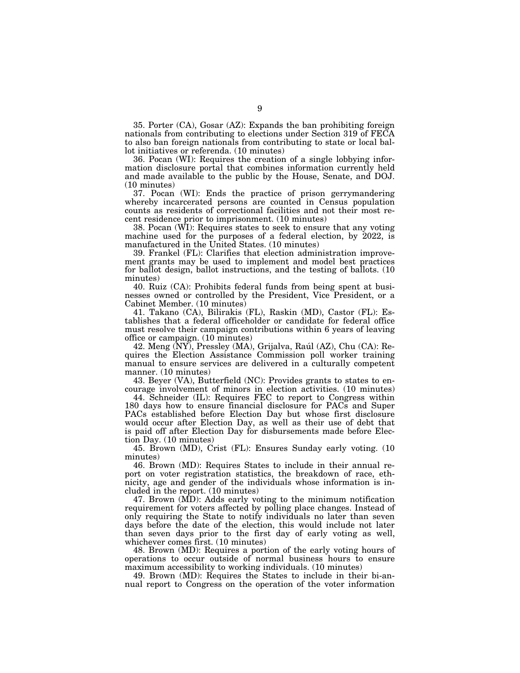35. Porter (CA), Gosar (AZ): Expands the ban prohibiting foreign nationals from contributing to elections under Section 319 of FECA to also ban foreign nationals from contributing to state or local ballot initiatives or referenda. (10 minutes)

36. Pocan (WI): Requires the creation of a single lobbying information disclosure portal that combines information currently held and made available to the public by the House, Senate, and DOJ. (10 minutes)

37. Pocan (WI): Ends the practice of prison gerrymandering whereby incarcerated persons are counted in Census population counts as residents of correctional facilities and not their most recent residence prior to imprisonment. (10 minutes)

38. Pocan (WI): Requires states to seek to ensure that any voting machine used for the purposes of a federal election, by 2022, is manufactured in the United States. (10 minutes)

39. Frankel (FL): Clarifies that election administration improvement grants may be used to implement and model best practices for ballot design, ballot instructions, and the testing of ballots. (10 minutes)

40. Ruiz (CA): Prohibits federal funds from being spent at businesses owned or controlled by the President, Vice President, or a Cabinet Member. (10 minutes)

41. Takano (CA), Bilirakis (FL), Raskin (MD), Castor (FL): Establishes that a federal officeholder or candidate for federal office must resolve their campaign contributions within 6 years of leaving office or campaign. (10 minutes)

42. Meng (NY), Pressley (MA), Grijalva, Raúl (AZ), Chu (CA): Requires the Election Assistance Commission poll worker training manual to ensure services are delivered in a culturally competent manner. (10 minutes)

43. Beyer (VA), Butterfield (NC): Provides grants to states to encourage involvement of minors in election activities. (10 minutes)

44. Schneider (IL): Requires FEC to report to Congress within 180 days how to ensure financial disclosure for PACs and Super PACs established before Election Day but whose first disclosure would occur after Election Day, as well as their use of debt that is paid off after Election Day for disbursements made before Election Day. (10 minutes)

45. Brown (MD), Crist (FL): Ensures Sunday early voting. (10 minutes)

46. Brown (MD): Requires States to include in their annual report on voter registration statistics, the breakdown of race, ethnicity, age and gender of the individuals whose information is included in the report. (10 minutes)

47. Brown (MD): Adds early voting to the minimum notification requirement for voters affected by polling place changes. Instead of only requiring the State to notify individuals no later than seven days before the date of the election, this would include not later than seven days prior to the first day of early voting as well, whichever comes first. (10 minutes)

48. Brown (MD): Requires a portion of the early voting hours of operations to occur outside of normal business hours to ensure maximum accessibility to working individuals. (10 minutes)

49. Brown (MD): Requires the States to include in their bi-annual report to Congress on the operation of the voter information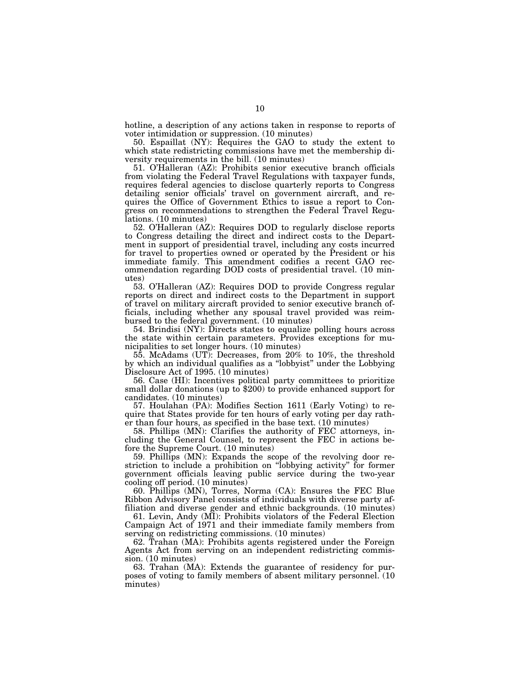hotline, a description of any actions taken in response to reports of voter intimidation or suppression. (10 minutes)

50. Espaillat (NY): Requires the GAO to study the extent to which state redistricting commissions have met the membership diversity requirements in the bill. (10 minutes)

51. O'Halleran (AZ): Prohibits senior executive branch officials from violating the Federal Travel Regulations with taxpayer funds, requires federal agencies to disclose quarterly reports to Congress detailing senior officials' travel on government aircraft, and requires the Office of Government Ethics to issue a report to Congress on recommendations to strengthen the Federal Travel Regulations. (10 minutes)

52. O'Halleran (AZ): Requires DOD to regularly disclose reports to Congress detailing the direct and indirect costs to the Department in support of presidential travel, including any costs incurred for travel to properties owned or operated by the President or his immediate family. This amendment codifies a recent GAO recommendation regarding DOD costs of presidential travel. (10 minutes)

53. O'Halleran (AZ): Requires DOD to provide Congress regular reports on direct and indirect costs to the Department in support of travel on military aircraft provided to senior executive branch officials, including whether any spousal travel provided was reimbursed to the federal government. (10 minutes)

54. Brindisi (NY): Directs states to equalize polling hours across the state within certain parameters. Provides exceptions for municipalities to set longer hours. (10 minutes)

55. McAdams (UT): Decreases, from 20% to 10%, the threshold by which an individual qualifies as a ''lobbyist'' under the Lobbying Disclosure Act of 1995. (10 minutes)<br>56. Case (HI): Incentives political party committees to prioritize

small dollar donations (up to \$200) to provide enhanced support for candidates. (10 minutes)

57. Houlahan (PA): Modifies Section 1611 (Early Voting) to require that States provide for ten hours of early voting per day rather than four hours, as specified in the base text. (10 minutes)

58. Phillips (MN): Clarifies the authority of FEC attorneys, including the General Counsel, to represent the FEC in actions before the Supreme Court. (10 minutes)

59. Phillips (MN): Expands the scope of the revolving door restriction to include a prohibition on ''lobbying activity'' for former government officials leaving public service during the two-year cooling off period. (10 minutes)

60. Phillips (MN), Torres, Norma (CA): Ensures the FEC Blue Ribbon Advisory Panel consists of individuals with diverse party affiliation and diverse gender and ethnic backgrounds. (10 minutes)

61. Levin, Andy (MI): Prohibits violators of the Federal Election Campaign Act of 1971 and their immediate family members from serving on redistricting commissions. (10 minutes)

62. Trahan (MA): Prohibits agents registered under the Foreign Agents Act from serving on an independent redistricting commission. (10 minutes)

63. Trahan (MA): Extends the guarantee of residency for purposes of voting to family members of absent military personnel. (10 minutes)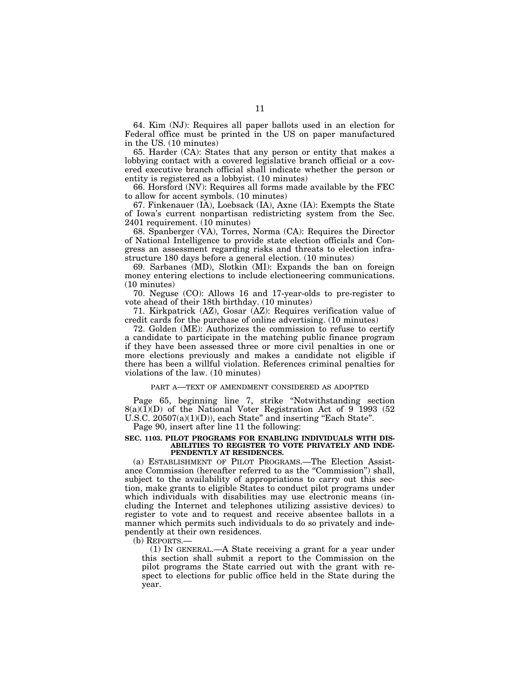64. Kim (NJ): Requires all paper ballots used in an election for Federal office must be printed in the US on paper manufactured in the US. (10 minutes)

65. Harder (CA): States that any person or entity that makes a lobbying contact with a covered legislative branch official or a covered executive branch official shall indicate whether the person or entity is registered as a lobbyist. (10 minutes)

66. Horsford (NV): Requires all forms made available by the FEC to allow for accent symbols. (10 minutes)

67. Finkenauer (IA), Loebsack (IA), Axne (IA): Exempts the State of Iowa's current nonpartisan redistricting system from the Sec. 2401 requirement. (10 minutes)

68. Spanberger (VA), Torres, Norma (CA): Requires the Director of National Intelligence to provide state election officials and Congress an assessment regarding risks and threats to election infrastructure 180 days before a general election. (10 minutes)

69. Sarbanes (MD), Slotkin (MI): Expands the ban on foreign money entering elections to include electioneering communications. (10 minutes)

70. Neguse (CO): Allows 16 and 17-year-olds to pre-register to vote ahead of their 18th birthday. (10 minutes)

71. Kirkpatrick (AZ), Gosar (AZ): Requires verification value of credit cards for the purchase of online advertising. (10 minutes)

72. Golden (ME): Authorizes the commission to refuse to certify a candidate to participate in the matching public finance program if they have been assessed three or more civil penalties in one or more elections previously and makes a candidate not eligible if there has been a willful violation. References criminal penalties for violations of the law. (10 minutes)

### PART A—TEXT OF AMENDMENT CONSIDERED AS ADOPTED

Page 65, beginning line 7, strike ''Notwithstanding section 8(a)(1)(D) of the National Voter Registration Act of 9 1993 (52 U.S.C.  $20507(a)(1)(D)$ , each State" and inserting "Each State".

Page 90, insert after line 11 the following:

#### **SEC. 1103. PILOT PROGRAMS FOR ENABLING INDIVIDUALS WITH DIS-ABILITIES TO REGISTER TO VOTE PRIVATELY AND INDE-PENDENTLY AT RESIDENCES.**

(a) ESTABLISHMENT OF PILOT PROGRAMS.—The Election Assistance Commission (hereafter referred to as the "Commission") shall, subject to the availability of appropriations to carry out this section, make grants to eligible States to conduct pilot programs under which individuals with disabilities may use electronic means (including the Internet and telephones utilizing assistive devices) to register to vote and to request and receive absentee ballots in a manner which permits such individuals to do so privately and independently at their own residences.

(b) REPORTS.—

(1) IN GENERAL.—A State receiving a grant for a year under this section shall submit a report to the Commission on the pilot programs the State carried out with the grant with respect to elections for public office held in the State during the year.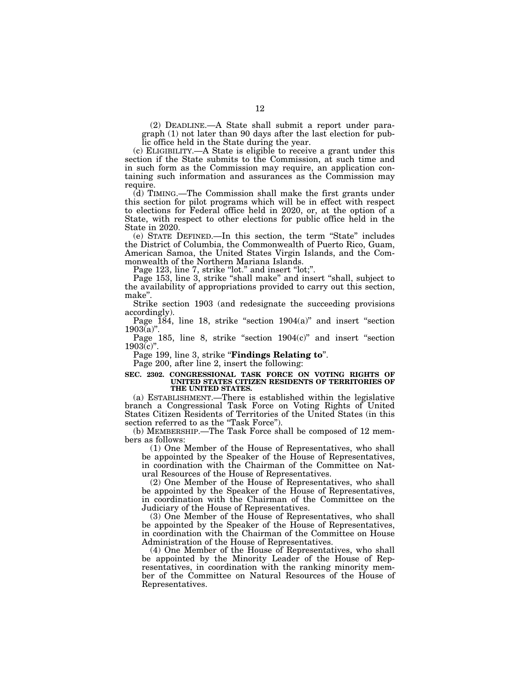(2) DEADLINE.—A State shall submit a report under paragraph (1) not later than 90 days after the last election for public office held in the State during the year.

(c) ELIGIBILITY.—A State is eligible to receive a grant under this section if the State submits to the Commission, at such time and in such form as the Commission may require, an application containing such information and assurances as the Commission may require.

(d) TIMING.—The Commission shall make the first grants under this section for pilot programs which will be in effect with respect to elections for Federal office held in 2020, or, at the option of a State, with respect to other elections for public office held in the State in 2020.

(e) STATE DEFINED.—In this section, the term ''State'' includes the District of Columbia, the Commonwealth of Puerto Rico, Guam, American Samoa, the United States Virgin Islands, and the Commonwealth of the Northern Mariana Islands.

Page 123, line 7, strike "lot." and insert "lot;".

Page 153, line 3, strike "shall make" and insert "shall, subject to the availability of appropriations provided to carry out this section, make''.

Strike section 1903 (and redesignate the succeeding provisions accordingly).

Page  $184$ , line 18, strike "section  $1904(a)$ " and insert "section  $1903(a)$ ".

Page 185, line 8, strike "section  $1904(c)$ " and insert "section  $1903(c)$ "

Page 199, line 3, strike "**Findings Relating to**".

Page 200, after line 2, insert the following:

#### **SEC. 2302. CONGRESSIONAL TASK FORCE ON VOTING RIGHTS OF UNITED STATES CITIZEN RESIDENTS OF TERRITORIES OF THE UNITED STATES.**

(a) ESTABLISHMENT.—There is established within the legislative branch a Congressional Task Force on Voting Rights of United States Citizen Residents of Territories of the United States (in this section referred to as the "Task Force").

(b) MEMBERSHIP.—The Task Force shall be composed of 12 members as follows:

(1) One Member of the House of Representatives, who shall be appointed by the Speaker of the House of Representatives, in coordination with the Chairman of the Committee on Natural Resources of the House of Representatives.

(2) One Member of the House of Representatives, who shall be appointed by the Speaker of the House of Representatives, in coordination with the Chairman of the Committee on the Judiciary of the House of Representatives.

(3) One Member of the House of Representatives, who shall be appointed by the Speaker of the House of Representatives, in coordination with the Chairman of the Committee on House Administration of the House of Representatives.

(4) One Member of the House of Representatives, who shall be appointed by the Minority Leader of the House of Representatives, in coordination with the ranking minority member of the Committee on Natural Resources of the House of Representatives.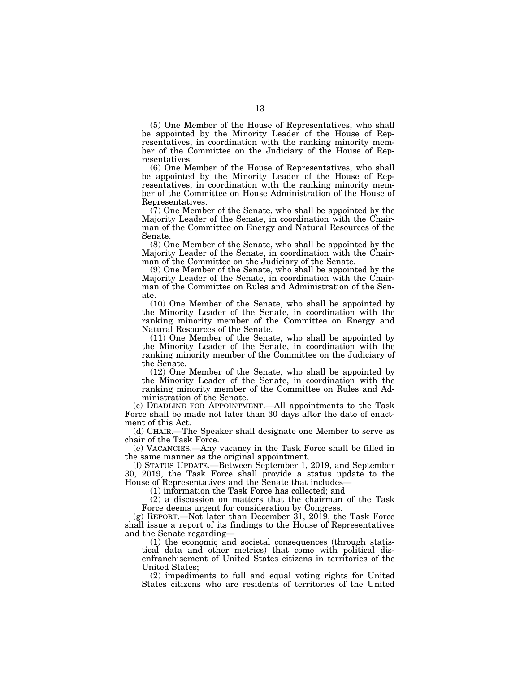(5) One Member of the House of Representatives, who shall be appointed by the Minority Leader of the House of Representatives, in coordination with the ranking minority member of the Committee on the Judiciary of the House of Representatives.

(6) One Member of the House of Representatives, who shall be appointed by the Minority Leader of the House of Representatives, in coordination with the ranking minority member of the Committee on House Administration of the House of Representatives.

(7) One Member of the Senate, who shall be appointed by the Majority Leader of the Senate, in coordination with the Chairman of the Committee on Energy and Natural Resources of the Senate.

(8) One Member of the Senate, who shall be appointed by the Majority Leader of the Senate, in coordination with the Chairman of the Committee on the Judiciary of the Senate.

(9) One Member of the Senate, who shall be appointed by the Majority Leader of the Senate, in coordination with the Chairman of the Committee on Rules and Administration of the Senate.

(10) One Member of the Senate, who shall be appointed by the Minority Leader of the Senate, in coordination with the ranking minority member of the Committee on Energy and Natural Resources of the Senate.

(11) One Member of the Senate, who shall be appointed by the Minority Leader of the Senate, in coordination with the ranking minority member of the Committee on the Judiciary of the Senate.

(12) One Member of the Senate, who shall be appointed by the Minority Leader of the Senate, in coordination with the ranking minority member of the Committee on Rules and Administration of the Senate.

(c) DEADLINE FOR APPOINTMENT.—All appointments to the Task Force shall be made not later than 30 days after the date of enactment of this Act.

(d) CHAIR.—The Speaker shall designate one Member to serve as chair of the Task Force.

(e) VACANCIES.—Any vacancy in the Task Force shall be filled in the same manner as the original appointment.

(f) STATUS UPDATE.—Between September 1, 2019, and September 30, 2019, the Task Force shall provide a status update to the House of Representatives and the Senate that includes—

(1) information the Task Force has collected; and

(2) a discussion on matters that the chairman of the Task Force deems urgent for consideration by Congress.

(g) REPORT.—Not later than December 31, 2019, the Task Force shall issue a report of its findings to the House of Representatives and the Senate regarding—

(1) the economic and societal consequences (through statistical data and other metrics) that come with political disenfranchisement of United States citizens in territories of the United States;

(2) impediments to full and equal voting rights for United States citizens who are residents of territories of the United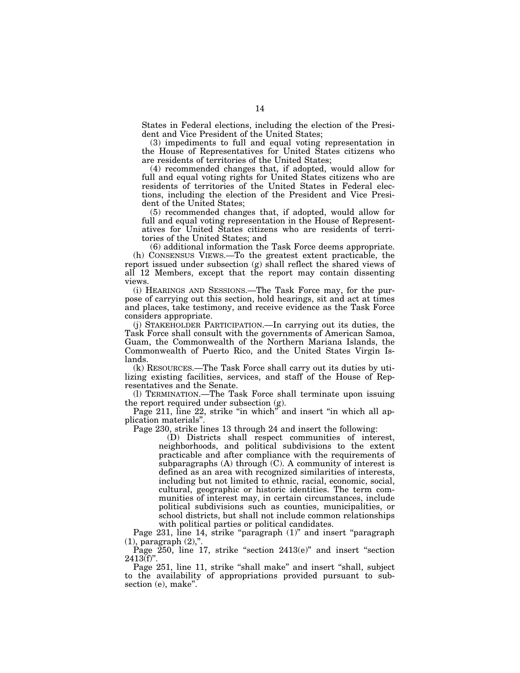States in Federal elections, including the election of the President and Vice President of the United States;

(3) impediments to full and equal voting representation in the House of Representatives for United States citizens who are residents of territories of the United States;

(4) recommended changes that, if adopted, would allow for full and equal voting rights for United States citizens who are residents of territories of the United States in Federal elections, including the election of the President and Vice President of the United States;

(5) recommended changes that, if adopted, would allow for full and equal voting representation in the House of Representatives for United States citizens who are residents of territories of the United States; and

(6) additional information the Task Force deems appropriate.

(h) CONSENSUS VIEWS.—To the greatest extent practicable, the report issued under subsection (g) shall reflect the shared views of all 12 Members, except that the report may contain dissenting views.

(i) HEARINGS AND SESSIONS.—The Task Force may, for the purpose of carrying out this section, hold hearings, sit and act at times and places, take testimony, and receive evidence as the Task Force considers appropriate.

(j) STAKEHOLDER PARTICIPATION.—In carrying out its duties, the Task Force shall consult with the governments of American Samoa, Guam, the Commonwealth of the Northern Mariana Islands, the Commonwealth of Puerto Rico, and the United States Virgin Islands.

(k) RESOURCES.—The Task Force shall carry out its duties by utilizing existing facilities, services, and staff of the House of Representatives and the Senate.

(l) TERMINATION.—The Task Force shall terminate upon issuing the report required under subsection (g).

Page 211, line 22, strike ''in which'' and insert ''in which all application materials''.

Page 230, strike lines 13 through 24 and insert the following:

(D) Districts shall respect communities of interest, neighborhoods, and political subdivisions to the extent practicable and after compliance with the requirements of subparagraphs (A) through (C). A community of interest is defined as an area with recognized similarities of interests, including but not limited to ethnic, racial, economic, social, cultural, geographic or historic identities. The term communities of interest may, in certain circumstances, include political subdivisions such as counties, municipalities, or school districts, but shall not include common relationships with political parties or political candidates.

Page 231, line 14, strike "paragraph (1)" and insert "paragraph (1), paragraph (2),''.

Page  $250$ , line 17, strike "section  $2413(e)$ " and insert "section  $2413(f)$ ".

Page 251, line 11, strike "shall make" and insert "shall, subject to the availability of appropriations provided pursuant to subsection (e), make".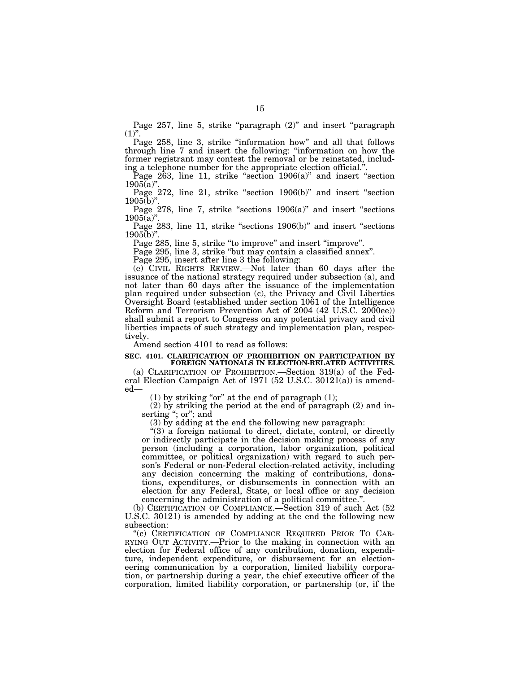Page 257, line 5, strike "paragraph (2)" and insert "paragraph  $(1)$ ".

Page 258, line 3, strike "information how" and all that follows through line 7 and insert the following: ''information on how the former registrant may contest the removal or be reinstated, including a telephone number for the appropriate election official."

Page 263, line 11, strike "section 1906(a)" and insert "section  $1905(a)$ ".

Page 272, line 21, strike "section 1906(b)" and insert "section  $1905(b)$ ".

Page  $278$ , line 7, strike "sections  $1906(a)$ " and insert "sections  $1905(a)$ ".

Page 283, line 11, strike "sections 1906(b)" and insert "sections  $1905(b)$ "

Page 285, line 5, strike "to improve" and insert "improve".

Page 295, line 3, strike "but may contain a classified annex".

Page 295, insert after line 3 the following:

(e) CIVIL RIGHTS REVIEW.—Not later than 60 days after the issuance of the national strategy required under subsection (a), and not later than 60 days after the issuance of the implementation plan required under subsection (c), the Privacy and Civil Liberties Oversight Board (established under section 1061 of the Intelligence Reform and Terrorism Prevention Act of 2004 (42 U.S.C. 2000ee)) shall submit a report to Congress on any potential privacy and civil liberties impacts of such strategy and implementation plan, respectively.

Amend section 4101 to read as follows:

#### **SEC. 4101. CLARIFICATION OF PROHIBITION ON PARTICIPATION BY FOREIGN NATIONALS IN ELECTION-RELATED ACTIVITIES.**

(a) CLARIFICATION OF PROHIBITION.—Section 319(a) of the Federal Election Campaign Act of 1971 (52 U.S.C. 30121(a)) is amended—

(1) by striking "or" at the end of paragraph  $(1)$ ;

(2) by striking the period at the end of paragraph (2) and inserting ''; or''; and

(3) by adding at the end the following new paragraph:

''(3) a foreign national to direct, dictate, control, or directly or indirectly participate in the decision making process of any person (including a corporation, labor organization, political committee, or political organization) with regard to such person's Federal or non-Federal election-related activity, including any decision concerning the making of contributions, donations, expenditures, or disbursements in connection with an election for any Federal, State, or local office or any decision concerning the administration of a political committee.''.

(b) CERTIFICATION OF COMPLIANCE.—Section 319 of such Act (52 U.S.C. 30121) is amended by adding at the end the following new subsection:

''(c) CERTIFICATION OF COMPLIANCE REQUIRED PRIOR TO CAR-RYING OUT ACTIVITY.—Prior to the making in connection with an election for Federal office of any contribution, donation, expenditure, independent expenditure, or disbursement for an electioneering communication by a corporation, limited liability corporation, or partnership during a year, the chief executive officer of the corporation, limited liability corporation, or partnership (or, if the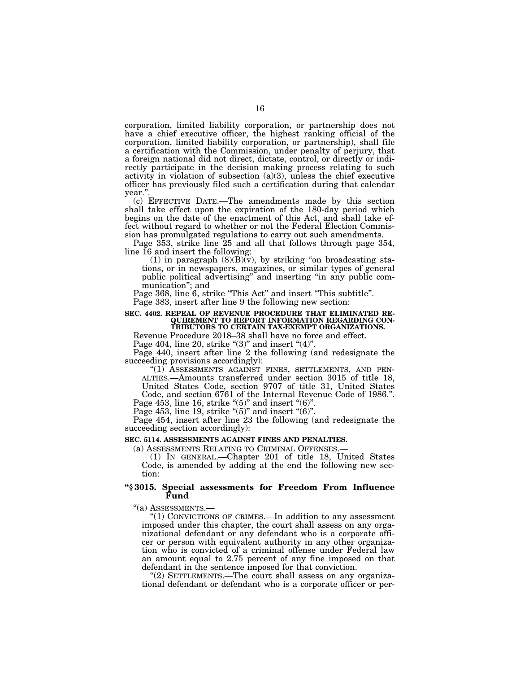corporation, limited liability corporation, or partnership does not have a chief executive officer, the highest ranking official of the corporation, limited liability corporation, or partnership), shall file a certification with the Commission, under penalty of perjury, that a foreign national did not direct, dictate, control, or directly or indirectly participate in the decision making process relating to such activity in violation of subsection (a)(3), unless the chief executive officer has previously filed such a certification during that calendar year.

(c) EFFECTIVE DATE.—The amendments made by this section shall take effect upon the expiration of the 180-day period which begins on the date of the enactment of this Act, and shall take effect without regard to whether or not the Federal Election Commission has promulgated regulations to carry out such amendments.

Page 353, strike line 25 and all that follows through page 354, line 16 and insert the following:

(1) in paragraph  $(8)(B)(v)$ , by striking "on broadcasting stations, or in newspapers, magazines, or similar types of general public political advertising'' and inserting ''in any public communication''; and

Page 368, line 6, strike "This Act" and insert "This subtitle". Page 383, insert after line 9 the following new section:

## **SEC. 4402. REPEAL OF REVENUE PROCEDURE THAT ELIMINATED RE-QUIREMENT TO REPORT INFORMATION REGARDING CON-TRIBUTORS TO CERTAIN TAX-EXEMPT ORGANIZATIONS.**

Revenue Procedure 2018–38 shall have no force and effect.

Page 404, line 20, strike " $(3)$ " and insert " $(4)$ ".

Page 440, insert after line 2 the following (and redesignate the succeeding provisions accordingly):

''(1) ASSESSMENTS AGAINST FINES, SETTLEMENTS, AND PEN- ALTIES.—Amounts transferred under section 3015 of title 18,

United States Code, section 9707 of title 31, United States Code, and section 6761 of the Internal Revenue Code of 1986.''. Page 453, line 16, strike " $(5)$ " and insert " $(6)$ ".

Page 453, line 19, strike " $(5)$ " and insert " $(6)$ ".

Page 454, insert after line 23 the following (and redesignate the succeeding section accordingly):

## **SEC. 5114. ASSESSMENTS AGAINST FINES AND PENALTIES.**

(a) ASSESSMENTS RELATING TO CRIMINAL OFFENSES.— (1) IN GENERAL.—Chapter 201 of title 18, United States Code, is amended by adding at the end the following new section:

## **''§ 3015. Special assessments for Freedom From Influence Fund**

''(a) ASSESSMENTS.—

''(1) CONVICTIONS OF CRIMES.—In addition to any assessment imposed under this chapter, the court shall assess on any organizational defendant or any defendant who is a corporate officer or person with equivalent authority in any other organization who is convicted of a criminal offense under Federal law an amount equal to 2.75 percent of any fine imposed on that defendant in the sentence imposed for that conviction.

''(2) SETTLEMENTS.—The court shall assess on any organizational defendant or defendant who is a corporate officer or per-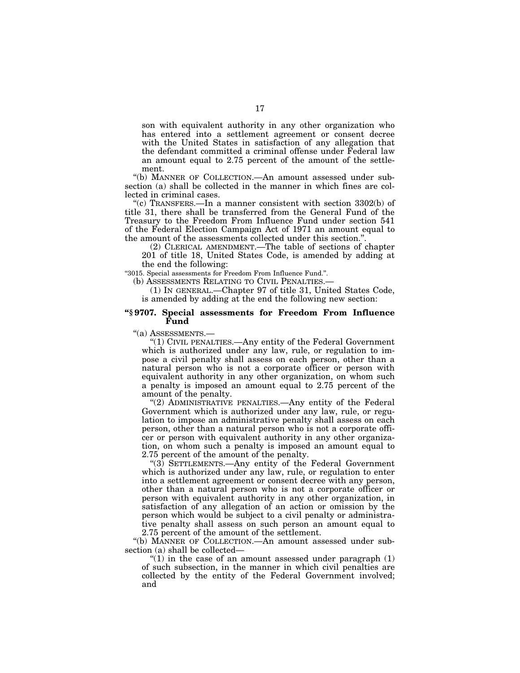son with equivalent authority in any other organization who has entered into a settlement agreement or consent decree with the United States in satisfaction of any allegation that the defendant committed a criminal offense under Federal law an amount equal to 2.75 percent of the amount of the settlement.

''(b) MANNER OF COLLECTION.—An amount assessed under subsection (a) shall be collected in the manner in which fines are collected in criminal cases.

"(c) TRANSFERS.—In a manner consistent with section  $3302(b)$  of title 31, there shall be transferred from the General Fund of the Treasury to the Freedom From Influence Fund under section 541 of the Federal Election Campaign Act of 1971 an amount equal to the amount of the assessments collected under this section.''.

(2) CLERICAL AMENDMENT.—The table of sections of chapter 201 of title 18, United States Code, is amended by adding at the end the following:

''3015. Special assessments for Freedom From Influence Fund.''.

(b) ASSESSMENTS RELATING TO CIVIL PENALTIES.

(1) IN GENERAL.—Chapter 97 of title 31, United States Code, is amended by adding at the end the following new section:

## **''§ 9707. Special assessments for Freedom From Influence Fund**

''(a) ASSESSMENTS.—

''(1) CIVIL PENALTIES.—Any entity of the Federal Government which is authorized under any law, rule, or regulation to impose a civil penalty shall assess on each person, other than a natural person who is not a corporate officer or person with equivalent authority in any other organization, on whom such a penalty is imposed an amount equal to 2.75 percent of the amount of the penalty.

"(2) ADMINISTRATIVE PENALTIES.—Any entity of the Federal Government which is authorized under any law, rule, or regulation to impose an administrative penalty shall assess on each person, other than a natural person who is not a corporate officer or person with equivalent authority in any other organization, on whom such a penalty is imposed an amount equal to 2.75 percent of the amount of the penalty.

" $(3)$  SETTLEMENTS.—Any entity of the Federal Government which is authorized under any law, rule, or regulation to enter into a settlement agreement or consent decree with any person, other than a natural person who is not a corporate officer or person with equivalent authority in any other organization, in satisfaction of any allegation of an action or omission by the person which would be subject to a civil penalty or administrative penalty shall assess on such person an amount equal to 2.75 percent of the amount of the settlement.

''(b) MANNER OF COLLECTION.—An amount assessed under subsection (a) shall be collected—

" $(1)$  in the case of an amount assessed under paragraph  $(1)$ of such subsection, in the manner in which civil penalties are collected by the entity of the Federal Government involved; and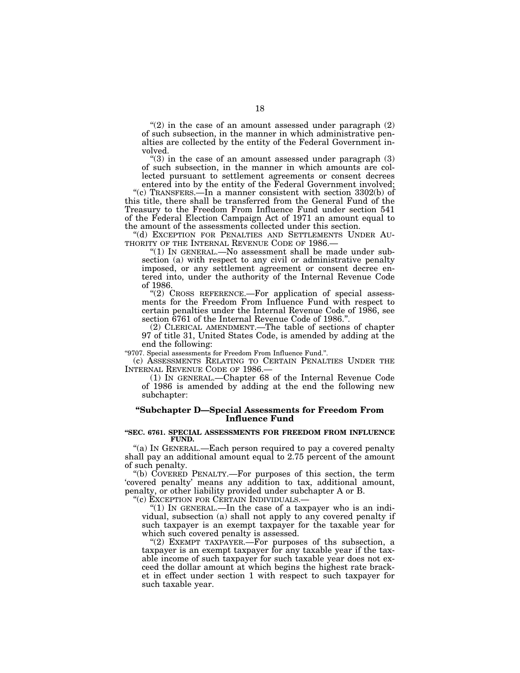" $(2)$  in the case of an amount assessed under paragraph  $(2)$ of such subsection, in the manner in which administrative penalties are collected by the entity of the Federal Government involved.

" $(3)$  in the case of an amount assessed under paragraph  $(3)$ of such subsection, in the manner in which amounts are collected pursuant to settlement agreements or consent decrees entered into by the entity of the Federal Government involved;

''(c) TRANSFERS.—In a manner consistent with section 3302(b) of this title, there shall be transferred from the General Fund of the Treasury to the Freedom From Influence Fund under section 541 of the Federal Election Campaign Act of 1971 an amount equal to the amount of the assessments collected under this section.

''(d) EXCEPTION FOR PENALTIES AND SETTLEMENTS UNDER AU- THORITY OF THE INTERNAL REVENUE CODE OF 1986.—

"(1) IN GENERAL.—No assessment shall be made under subsection (a) with respect to any civil or administrative penalty imposed, or any settlement agreement or consent decree entered into, under the authority of the Internal Revenue Code of 1986.

 $''(2)$  CROSS REFERENCE.—For application of special assessments for the Freedom From Influence Fund with respect to certain penalties under the Internal Revenue Code of 1986, see section 6761 of the Internal Revenue Code of 1986.''.

(2) CLERICAL AMENDMENT.—The table of sections of chapter 97 of title 31, United States Code, is amended by adding at the end the following:

''9707. Special assessments for Freedom From Influence Fund.''.

(c) ASSESSMENTS RELATING TO CERTAIN PENALTIES UNDER THE INTERNAL REVENUE CODE OF 1986.

(1) IN GENERAL.—Chapter 68 of the Internal Revenue Code of 1986 is amended by adding at the end the following new subchapter:

## **''Subchapter D—Special Assessments for Freedom From Influence Fund**

#### **''SEC. 6761. SPECIAL ASSESSMENTS FOR FREEDOM FROM INFLUENCE FUND.**

"(a) IN GENERAL.—Each person required to pay a covered penalty shall pay an additional amount equal to 2.75 percent of the amount of such penalty.

''(b) COVERED PENALTY.—For purposes of this section, the term 'covered penalty' means any addition to tax, additional amount, penalty, or other liability provided under subchapter A or B.

''(c) EXCEPTION FOR CERTAIN INDIVIDUALS.—

"(1) In GENERAL.—In the case of a taxpayer who is an individual, subsection (a) shall not apply to any covered penalty if such taxpayer is an exempt taxpayer for the taxable year for which such covered penalty is assessed.

"(2) EXEMPT TAXPAYER.—For purposes of ths subsection, a taxpayer is an exempt taxpayer for any taxable year if the taxable income of such taxpayer for such taxable year does not exceed the dollar amount at which begins the highest rate bracket in effect under section 1 with respect to such taxpayer for such taxable year.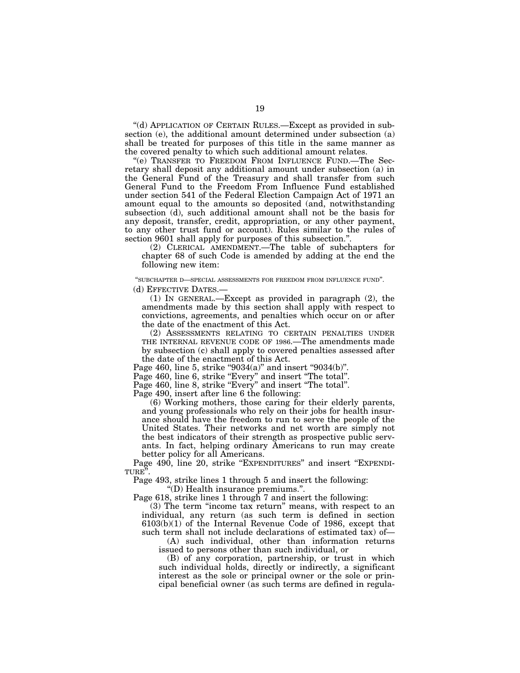''(d) APPLICATION OF CERTAIN RULES.—Except as provided in subsection (e), the additional amount determined under subsection (a) shall be treated for purposes of this title in the same manner as the covered penalty to which such additional amount relates.

''(e) TRANSFER TO FREEDOM FROM INFLUENCE FUND.—The Secretary shall deposit any additional amount under subsection (a) in the General Fund of the Treasury and shall transfer from such General Fund to the Freedom From Influence Fund established under section 541 of the Federal Election Campaign Act of 1971 an amount equal to the amounts so deposited (and, notwithstanding subsection (d), such additional amount shall not be the basis for any deposit, transfer, credit, appropriation, or any other payment, to any other trust fund or account). Rules similar to the rules of section 9601 shall apply for purposes of this subsection.''.

(2) CLERICAL AMENDMENT.—The table of subchapters for chapter 68 of such Code is amended by adding at the end the following new item:

''SUBCHAPTER D—SPECIAL ASSESSMENTS FOR FREEDOM FROM INFLUENCE FUND''.

(d) EFFECTIVE DATES.—

(1) IN GENERAL.—Except as provided in paragraph (2), the amendments made by this section shall apply with respect to convictions, agreements, and penalties which occur on or after the date of the enactment of this Act.

(2) ASSESSMENTS RELATING TO CERTAIN PENALTIES UNDER THE INTERNAL REVENUE CODE OF 1986.—The amendments made by subsection (c) shall apply to covered penalties assessed after the date of the enactment of this Act.

Page 460, line 5, strike "9034(a)" and insert "9034(b)".

Page 460, line 6, strike "Every" and insert "The total".

Page 460, line 8, strike "Every" and insert "The total".

Page 490, insert after line 6 the following:

(6) Working mothers, those caring for their elderly parents, and young professionals who rely on their jobs for health insurance should have the freedom to run to serve the people of the United States. Their networks and net worth are simply not the best indicators of their strength as prospective public servants. In fact, helping ordinary Americans to run may create better policy for all Americans.

Page 490, line 20, strike "EXPENDITURES" and insert "EXPENDI-TURE''.

Page 493, strike lines 1 through 5 and insert the following:

''(D) Health insurance premiums.''.

Page 618, strike lines 1 through 7 and insert the following:

(3) The term ''income tax return'' means, with respect to an individual, any return (as such term is defined in section 6103(b)(1) of the Internal Revenue Code of 1986, except that such term shall not include declarations of estimated tax) of—

(A) such individual, other than information returns issued to persons other than such individual, or

(B) of any corporation, partnership, or trust in which such individual holds, directly or indirectly, a significant interest as the sole or principal owner or the sole or principal beneficial owner (as such terms are defined in regula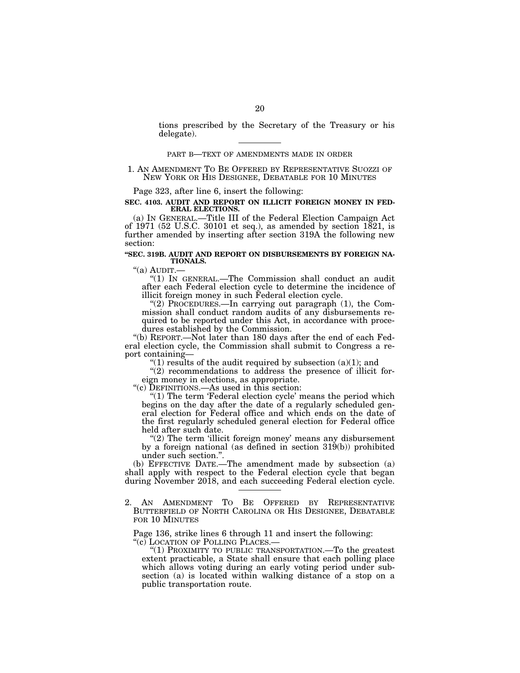tions prescribed by the Secretary of the Treasury or his delegate).

#### PART B—TEXT OF AMENDMENTS MADE IN ORDER

## 1. AN AMENDMENT TO BE OFFERED BY REPRESENTATIVE SUOZZI OF NEW YORK OR HIS DESIGNEE, DEBATABLE FOR 10 MINUTES

Page 323, after line 6, insert the following:

#### **SEC. 4103. AUDIT AND REPORT ON ILLICIT FOREIGN MONEY IN FED-ERAL ELECTIONS.**

(a) IN GENERAL.—Title III of the Federal Election Campaign Act of 1971 (52 U.S.C. 30101 et seq.), as amended by section 1821, is further amended by inserting after section 319A the following new section:

## **''SEC. 319B. AUDIT AND REPORT ON DISBURSEMENTS BY FOREIGN NA-TIONALS.**<br>"(a) AUDIT.—

"(1) IN GENERAL.—The Commission shall conduct an audit after each Federal election cycle to determine the incidence of illicit foreign money in such Federal election cycle.

"(2) PROCEDURES.—In carrying out paragraph (1), the Commission shall conduct random audits of any disbursements required to be reported under this Act, in accordance with procedures established by the Commission.

''(b) REPORT.—Not later than 180 days after the end of each Federal election cycle, the Commission shall submit to Congress a report containing—

"(1) results of the audit required by subsection  $(a)(1)$ ; and

"(2) recommendations to address the presence of illicit foreign money in elections, as appropriate.

''(c) DEFINITIONS.—As used in this section:

" $(1)$  The term 'Federal election cycle' means the period which begins on the day after the date of a regularly scheduled general election for Federal office and which ends on the date of the first regularly scheduled general election for Federal office held after such date.

"(2) The term 'illicit foreign money' means any disbursement by a foreign national (as defined in section 319(b)) prohibited under such section.''.

(b) EFFECTIVE DATE.—The amendment made by subsection (a) shall apply with respect to the Federal election cycle that began during November 2018, and each succeeding Federal election cycle.

2. AN AMENDMENT TO BE OFFERED BY REPRESENTATIVE BUTTERFIELD OF NORTH CAROLINA OR HIS DESIGNEE, DEBATABLE FOR 10 MINUTES

Page 136, strike lines 6 through 11 and insert the following: "(c) LOCATION OF POLLING PLACES.—

"(1) PROXIMITY TO PUBLIC TRANSPORTATION.—To the greatest extent practicable, a State shall ensure that each polling place which allows voting during an early voting period under subsection (a) is located within walking distance of a stop on a public transportation route.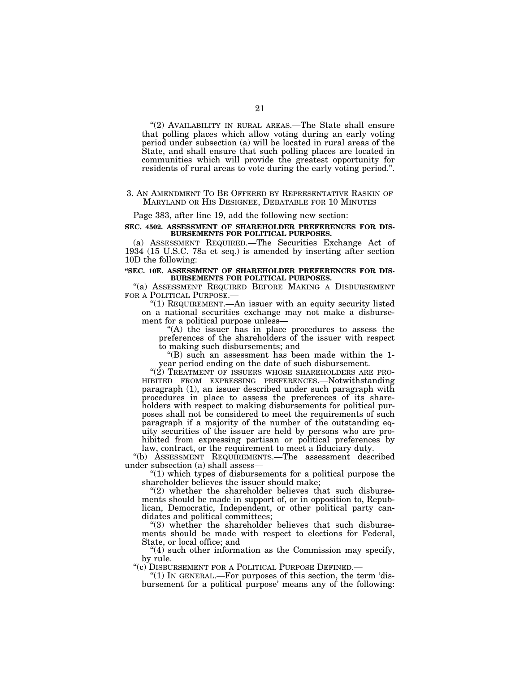"(2) AVAILABILITY IN RURAL AREAS.—The State shall ensure that polling places which allow voting during an early voting period under subsection (a) will be located in rural areas of the State, and shall ensure that such polling places are located in communities which will provide the greatest opportunity for residents of rural areas to vote during the early voting period.''.

### 3. AN AMENDMENT TO BE OFFERED BY REPRESENTATIVE RASKIN OF MARYLAND OR HIS DESIGNEE, DEBATABLE FOR 10 MINUTES

Page 383, after line 19, add the following new section:

#### **SEC. 4502. ASSESSMENT OF SHAREHOLDER PREFERENCES FOR DIS-BURSEMENTS FOR POLITICAL PURPOSES.**

(a) ASSESSMENT REQUIRED.—The Securities Exchange Act of 1934 (15 U.S.C. 78a et seq.) is amended by inserting after section 10D the following:

### **''SEC. 10E. ASSESSMENT OF SHAREHOLDER PREFERENCES FOR DIS-BURSEMENTS FOR POLITICAL PURPOSES.**

"(a) ASSESSMENT REQUIRED BEFORE MAKING A DISBURSEMENT FOR A POLITICAL PURPOSE.—

''(1) REQUIREMENT.—An issuer with an equity security listed on a national securities exchange may not make a disbursement for a political purpose unless—

''(A) the issuer has in place procedures to assess the preferences of the shareholders of the issuer with respect to making such disbursements; and

''(B) such an assessment has been made within the 1 year period ending on the date of such disbursement.

"(2) TREATMENT OF ISSUERS WHOSE SHAREHOLDERS ARE PRO-HIBITED FROM EXPRESSING PREFERENCES.—Notwithstanding paragraph (1), an issuer described under such paragraph with procedures in place to assess the preferences of its shareholders with respect to making disbursements for political purposes shall not be considered to meet the requirements of such paragraph if a majority of the number of the outstanding equity securities of the issuer are held by persons who are prohibited from expressing partisan or political preferences by law, contract, or the requirement to meet a fiduciary duty.

''(b) ASSESSMENT REQUIREMENTS.—The assessment described under subsection (a) shall assess—

 $''(1)$  which types of disbursements for a political purpose the shareholder believes the issuer should make;

" $(2)$  whether the shareholder believes that such disbursements should be made in support of, or in opposition to, Republican, Democratic, Independent, or other political party candidates and political committees;

''(3) whether the shareholder believes that such disbursements should be made with respect to elections for Federal, State, or local office; and

 $\degree$ (4) such other information as the Commission may specify, by rule.

''(c) DISBURSEMENT FOR A POLITICAL PURPOSE DEFINED.—

" $(1)$  In GENERAL.—For purposes of this section, the term 'disbursement for a political purpose' means any of the following: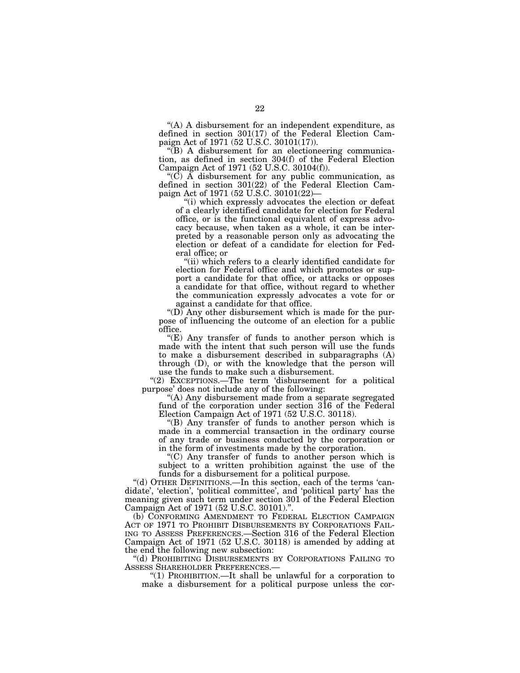''(A) A disbursement for an independent expenditure, as defined in section 301(17) of the Federal Election Campaign Act of 1971 (52 U.S.C. 30101(17)).

''(B) A disbursement for an electioneering communication, as defined in section 304(f) of the Federal Election Campaign Act of 1971 (52 U.S.C. 30104(f)).

" $(\overrightarrow{C})$  A disbursement for any public communication, as defined in section 301(22) of the Federal Election Campaign Act of 1971 (52 U.S.C. 30101(22)—

''(i) which expressly advocates the election or defeat of a clearly identified candidate for election for Federal office, or is the functional equivalent of express advocacy because, when taken as a whole, it can be interpreted by a reasonable person only as advocating the election or defeat of a candidate for election for Federal office; or

''(ii) which refers to a clearly identified candidate for election for Federal office and which promotes or support a candidate for that office, or attacks or opposes a candidate for that office, without regard to whether the communication expressly advocates a vote for or against a candidate for that office.

" $(D)$  Any other disbursement which is made for the purpose of influencing the outcome of an election for a public office.

''(E) Any transfer of funds to another person which is made with the intent that such person will use the funds to make a disbursement described in subparagraphs (A)  $through (D)$ , or with the knowledge that the person will use the funds to make such a disbursement.

''(2) EXCEPTIONS.—The term 'disbursement for a political purpose' does not include any of the following:

''(A) Any disbursement made from a separate segregated fund of the corporation under section 316 of the Federal Election Campaign Act of 1971 (52 U.S.C. 30118).

''(B) Any transfer of funds to another person which is made in a commercial transaction in the ordinary course of any trade or business conducted by the corporation or in the form of investments made by the corporation.

''(C) Any transfer of funds to another person which is subject to a written prohibition against the use of the funds for a disbursement for a political purpose.

''(d) OTHER DEFINITIONS.—In this section, each of the terms 'candidate', 'election', 'political committee', and 'political party' has the meaning given such term under section 301 of the Federal Election Campaign Act of 1971 (52 U.S.C. 30101).''.

(b) CONFORMING AMENDMENT TO FEDERAL ELECTION CAMPAIGN ACT OF 1971 TO PROHIBIT DISBURSEMENTS BY CORPORATIONS FAIL-ING TO ASSESS PREFERENCES.—Section 316 of the Federal Election Campaign Act of 1971 (52 U.S.C. 30118) is amended by adding at the end the following new subsection:

''(d) PROHIBITING DISBURSEMENTS BY CORPORATIONS FAILING TO ASSESS SHAREHOLDER PREFERENCES.—

''(1) PROHIBITION.—It shall be unlawful for a corporation to make a disbursement for a political purpose unless the cor-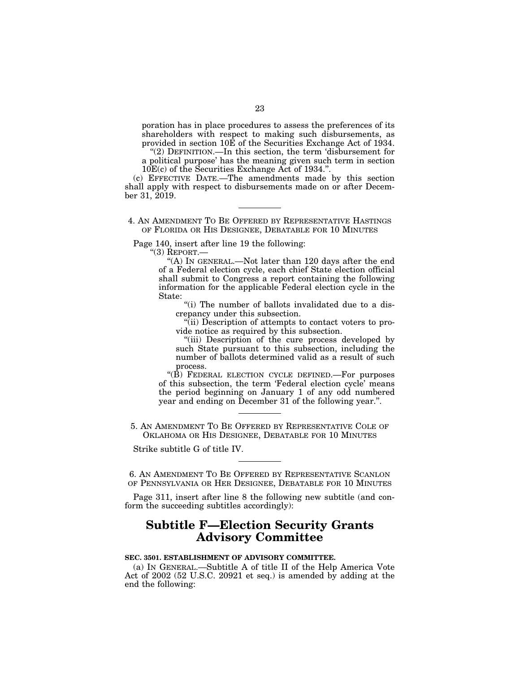poration has in place procedures to assess the preferences of its shareholders with respect to making such disbursements, as provided in section 10E of the Securities Exchange Act of 1934.

"(2) DEFINITION.—In this section, the term 'disbursement for a political purpose' has the meaning given such term in section 10E(c) of the Securities Exchange Act of 1934.''.

(c) EFFECTIVE DATE.—The amendments made by this section shall apply with respect to disbursements made on or after December 31, 2019.

4. AN AMENDMENT TO BE OFFERED BY REPRESENTATIVE HASTINGS OF FLORIDA OR HIS DESIGNEE, DEBATABLE FOR 10 MINUTES

Page 140, insert after line 19 the following:

''(3) REPORT.—

''(A) IN GENERAL.—Not later than 120 days after the end of a Federal election cycle, each chief State election official shall submit to Congress a report containing the following information for the applicable Federal election cycle in the State:

''(i) The number of ballots invalidated due to a discrepancy under this subsection.

''(ii) Description of attempts to contact voters to provide notice as required by this subsection.

"(iii) Description of the cure process developed by such State pursuant to this subsection, including the number of ballots determined valid as a result of such process.

"(B) FEDERAL ELECTION CYCLE DEFINED.—For purposes of this subsection, the term 'Federal election cycle' means the period beginning on January 1 of any odd numbered year and ending on December 31 of the following year.''.

5. AN AMENDMENT TO BE OFFERED BY REPRESENTATIVE COLE OF OKLAHOMA OR HIS DESIGNEE, DEBATABLE FOR 10 MINUTES

Strike subtitle G of title IV.

6. AN AMENDMENT TO BE OFFERED BY REPRESENTATIVE SCANLON OF PENNSYLVANIA OR HER DESIGNEE, DEBATABLE FOR 10 MINUTES

Page 311, insert after line 8 the following new subtitle (and conform the succeeding subtitles accordingly):

## **Subtitle F—Election Security Grants Advisory Committee**

## **SEC. 3501. ESTABLISHMENT OF ADVISORY COMMITTEE.**

(a) IN GENERAL.—Subtitle A of title II of the Help America Vote Act of 2002 (52 U.S.C. 20921 et seq.) is amended by adding at the end the following: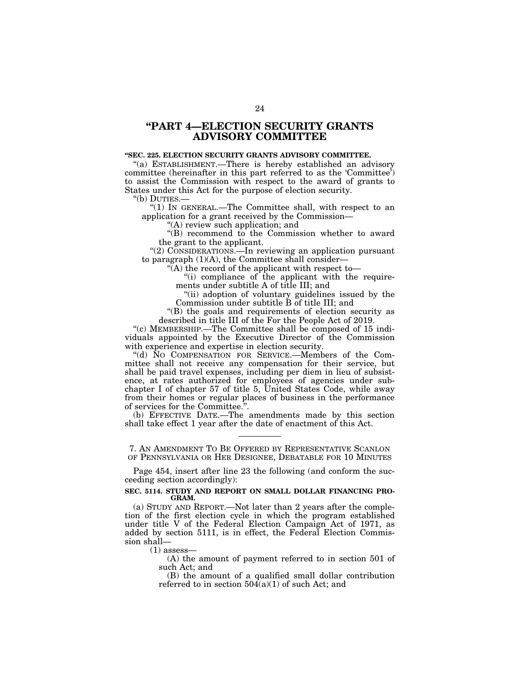## **''PART 4—ELECTION SECURITY GRANTS ADVISORY COMMITTEE**

## **''SEC. 225. ELECTION SECURITY GRANTS ADVISORY COMMITTEE.**

"(a) ESTABLISHMENT.—There is hereby established an advisory committee (hereinafter in this part referred to as the 'Committee') to assist the Commission with respect to the award of grants to States under this Act for the purpose of election security.

''(b) DUTIES.—

"(1) IN GENERAL.—The Committee shall, with respect to an application for a grant received by the Commission—

''(A) review such application; and

''(B) recommend to the Commission whether to award the grant to the applicant.

''(2) CONSIDERATIONS.—In reviewing an application pursuant to paragraph  $(1)(A)$ , the Committee shall consider-

 $\mathcal{F}(A)$  the record of the applicant with respect to-

"(i) compliance of the applicant with the requirements under subtitle A of title III; and

"(ii) adoption of voluntary guidelines issued by the Commission under subtitle B of title III; and

''(B) the goals and requirements of election security as described in title III of the For the People Act of 2019.

''(c) MEMBERSHIP.—The Committee shall be composed of 15 individuals appointed by the Executive Director of the Commission with experience and expertise in election security.

''(d) NO COMPENSATION FOR SERVICE.—Members of the Committee shall not receive any compensation for their service, but shall be paid travel expenses, including per diem in lieu of subsistence, at rates authorized for employees of agencies under subchapter I of chapter 57 of title 5, United States Code, while away from their homes or regular places of business in the performance of services for the Committee.''.

(b) EFFECTIVE DATE.—The amendments made by this section shall take effect 1 year after the date of enactment of this Act.

7. AN AMENDMENT TO BE OFFERED BY REPRESENTATIVE SCANLON OF PENNSYLVANIA OR HER DESIGNEE, DEBATABLE FOR 10 MINUTES

Page 454, insert after line 23 the following (and conform the succeeding section accordingly):

### **SEC. 5114. STUDY AND REPORT ON SMALL DOLLAR FINANCING PRO-GRAM.**

(a) STUDY AND REPORT.—Not later than 2 years after the completion of the first election cycle in which the program established under title V of the Federal Election Campaign Act of 1971, as added by section 5111, is in effect, the Federal Election Commission shall—

 $(1)$  assess—

(A) the amount of payment referred to in section 501 of such Act; and

(B) the amount of a qualified small dollar contribution referred to in section  $504(a)(1)$  of such Act; and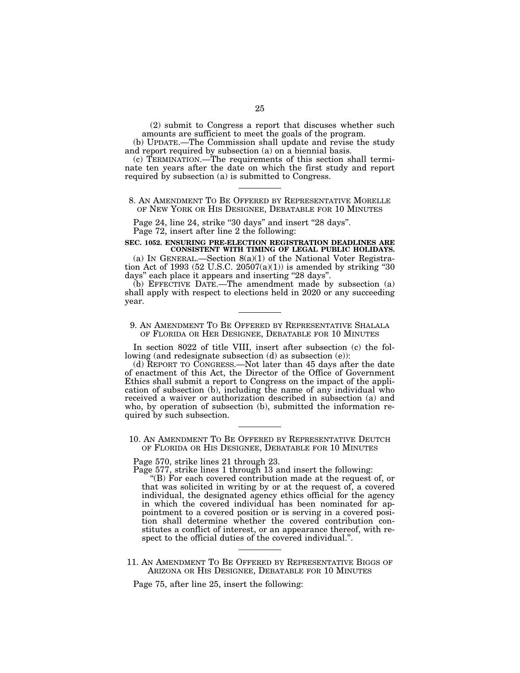(2) submit to Congress a report that discuses whether such amounts are sufficient to meet the goals of the program.

(b) UPDATE.—The Commission shall update and revise the study and report required by subsection (a) on a biennial basis.

(c) TERMINATION.—The requirements of this section shall terminate ten years after the date on which the first study and report required by subsection (a) is submitted to Congress.

## 8. AN AMENDMENT TO BE OFFERED BY REPRESENTATIVE MORELLE OF NEW YORK OR HIS DESIGNEE, DEBATABLE FOR 10 MINUTES

Page 24, line 24, strike "30 days" and insert "28 days". Page 72, insert after line 2 the following:

## **SEC. 1052. ENSURING PRE-ELECTION REGISTRATION DEADLINES ARE**

**CONSISTENT WITH TIMING OF LEGAL PUBLIC HOLIDAYS.**  (a) IN GENERAL.—Section  $8(a)(1)$  of the National Voter Registration Act of 1993 (52 U.S.C. 20507(a)(1)) is amended by striking "30 days'' each place it appears and inserting ''28 days''.

(b) EFFECTIVE DATE.—The amendment made by subsection (a) shall apply with respect to elections held in 2020 or any succeeding year.

#### 9. AN AMENDMENT TO BE OFFERED BY REPRESENTATIVE SHALALA OF FLORIDA OR HER DESIGNEE, DEBATABLE FOR 10 MINUTES

In section 8022 of title VIII, insert after subsection (c) the following (and redesignate subsection (d) as subsection (e)):

(d) REPORT TO CONGRESS.—Not later than 45 days after the date of enactment of this Act, the Director of the Office of Government Ethics shall submit a report to Congress on the impact of the application of subsection (b), including the name of any individual who received a waiver or authorization described in subsection (a) and who, by operation of subsection (b), submitted the information required by such subsection.

10. AN AMENDMENT TO BE OFFERED BY REPRESENTATIVE DEUTCH OF FLORIDA OR HIS DESIGNEE, DEBATABLE FOR 10 MINUTES

Page 570, strike lines 21 through 23.

Page 577, strike lines 1 through 13 and insert the following:

''(B) For each covered contribution made at the request of, or that was solicited in writing by or at the request of, a covered individual, the designated agency ethics official for the agency in which the covered individual has been nominated for appointment to a covered position or is serving in a covered position shall determine whether the covered contribution constitutes a conflict of interest, or an appearance thereof, with respect to the official duties of the covered individual.''.

11. AN AMENDMENT TO BE OFFERED BY REPRESENTATIVE BIGGS OF ARIZONA OR HIS DESIGNEE, DEBATABLE FOR 10 MINUTES

Page 75, after line 25, insert the following: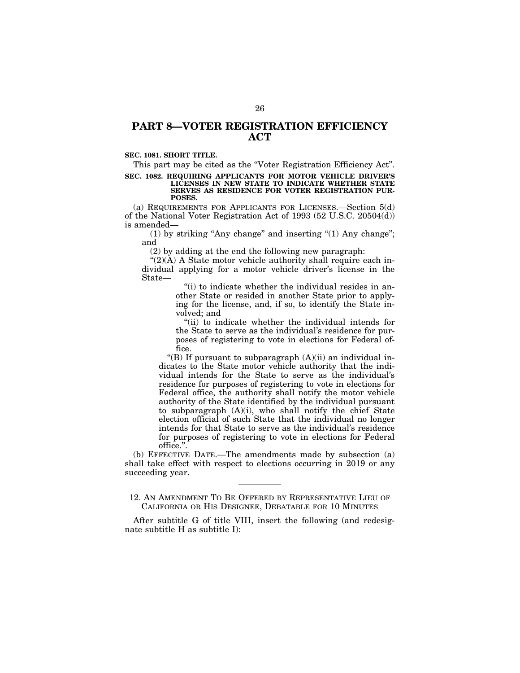## **PART 8—VOTER REGISTRATION EFFICIENCY ACT**

## **SEC. 1081. SHORT TITLE.**

This part may be cited as the "Voter Registration Efficiency Act".

#### **SEC. 1082. REQUIRING APPLICANTS FOR MOTOR VEHICLE DRIVER'S LICENSES IN NEW STATE TO INDICATE WHETHER STATE SERVES AS RESIDENCE FOR VOTER REGISTRATION PUR-POSES.**

(a) REQUIREMENTS FOR APPLICANTS FOR LICENSES.—Section 5(d) of the National Voter Registration Act of 1993 (52 U.S.C. 20504(d)) is amended—

(1) by striking "Any change" and inserting "(1) Any change"; and

(2) by adding at the end the following new paragraph:

 $C(2)(A)$  A State motor vehicle authority shall require each individual applying for a motor vehicle driver's license in the State—

> $f(i)$  to indicate whether the individual resides in another State or resided in another State prior to applying for the license, and, if so, to identify the State involved; and

> "(ii) to indicate whether the individual intends for the State to serve as the individual's residence for purposes of registering to vote in elections for Federal office.

"(B) If pursuant to subparagraph  $(A)(ii)$  an individual indicates to the State motor vehicle authority that the individual intends for the State to serve as the individual's residence for purposes of registering to vote in elections for Federal office, the authority shall notify the motor vehicle authority of the State identified by the individual pursuant to subparagraph (A)(i), who shall notify the chief State election official of such State that the individual no longer intends for that State to serve as the individual's residence for purposes of registering to vote in elections for Federal office.''.

(b) EFFECTIVE DATE.—The amendments made by subsection (a) shall take effect with respect to elections occurring in 2019 or any succeeding year.

12. AN AMENDMENT TO BE OFFERED BY REPRESENTATIVE LIEU OF CALIFORNIA OR HIS DESIGNEE, DEBATABLE FOR 10 MINUTES

After subtitle G of title VIII, insert the following (and redesignate subtitle H as subtitle I):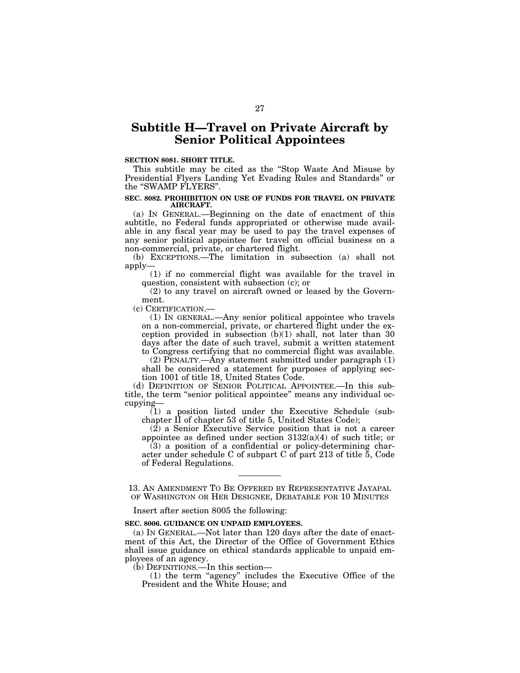## **Subtitle H—Travel on Private Aircraft by Senior Political Appointees**

#### **SECTION 8081. SHORT TITLE.**

This subtitle may be cited as the ''Stop Waste And Misuse by Presidential Flyers Landing Yet Evading Rules and Standards'' or the ''SWAMP FLYERS''.

#### **SEC. 8082. PROHIBITION ON USE OF FUNDS FOR TRAVEL ON PRIVATE AIRCRAFT.**

(a) IN GENERAL.—Beginning on the date of enactment of this subtitle, no Federal funds appropriated or otherwise made available in any fiscal year may be used to pay the travel expenses of any senior political appointee for travel on official business on a non-commercial, private, or chartered flight.

(b) EXCEPTIONS.—The limitation in subsection (a) shall not apply—

(1) if no commercial flight was available for the travel in question, consistent with subsection (c); or

(2) to any travel on aircraft owned or leased by the Government.

(c) CERTIFICATION.—

(1) IN GENERAL.—Any senior political appointee who travels on a non-commercial, private, or chartered flight under the exception provided in subsection (b)(1) shall, not later than 30 days after the date of such travel, submit a written statement to Congress certifying that no commercial flight was available.

(2) PENALTY.—Any statement submitted under paragraph (1) shall be considered a statement for purposes of applying section 1001 of title 18, United States Code.

(d) DEFINITION OF SENIOR POLITICAL APPOINTEE.—In this subtitle, the term ''senior political appointee'' means any individual occupying—

(1) a position listed under the Executive Schedule (subchapter II of chapter 53 of title 5, United States Code);

(2) a Senior Executive Service position that is not a career appointee as defined under section 3132(a)(4) of such title; or

 $(3)$  a position of a confidential or policy-determining character under schedule C of subpart C of part 213 of title 5, Code of Federal Regulations.

13. AN AMENDMENT TO BE OFFERED BY REPRESENTATIVE JAYAPAL OF WASHINGTON OR HER DESIGNEE, DEBATABLE FOR 10 MINUTES

Insert after section 8005 the following:

## **SEC. 8006. GUIDANCE ON UNPAID EMPLOYEES.**

(a) IN GENERAL.—Not later than 120 days after the date of enactment of this Act, the Director of the Office of Government Ethics shall issue guidance on ethical standards applicable to unpaid employees of an agency.

(b) DEFINITIONS.—In this section—

(1) the term ''agency'' includes the Executive Office of the President and the White House; and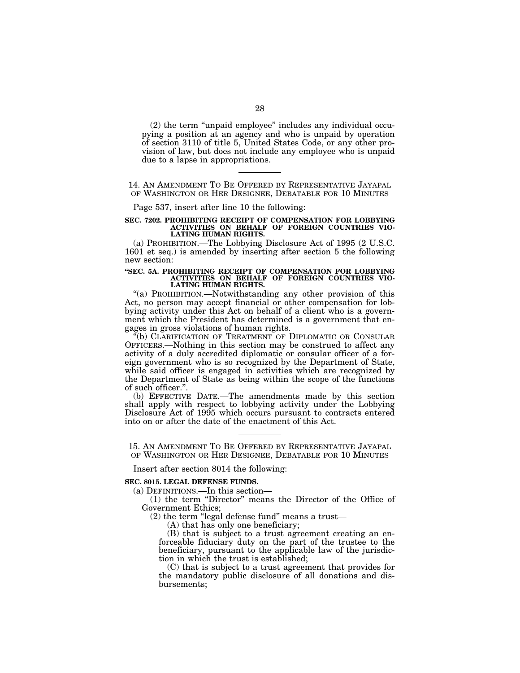(2) the term ''unpaid employee'' includes any individual occupying a position at an agency and who is unpaid by operation of section 3110 of title 5, United States Code, or any other provision of law, but does not include any employee who is unpaid due to a lapse in appropriations.

14. AN AMENDMENT TO BE OFFERED BY REPRESENTATIVE JAYAPAL OF WASHINGTON OR HER DESIGNEE, DEBATABLE FOR 10 MINUTES

Page 537, insert after line 10 the following:

#### **SEC. 7202. PROHIBITING RECEIPT OF COMPENSATION FOR LOBBYING ACTIVITIES ON BEHALF OF FOREIGN COUNTRIES VIO-LATING HUMAN RIGHTS.**

(a) PROHIBITION.—The Lobbying Disclosure Act of 1995 (2 U.S.C. 1601 et seq.) is amended by inserting after section 5 the following new section:

#### **''SEC. 5A. PROHIBITING RECEIPT OF COMPENSATION FOR LOBBYING ACTIVITIES ON BEHALF OF FOREIGN COUNTRIES VIO-LATING HUMAN RIGHTS.**

"(a) PROHIBITION.—Notwithstanding any other provision of this Act, no person may accept financial or other compensation for lobbying activity under this Act on behalf of a client who is a government which the President has determined is a government that engages in gross violations of human rights.

(b) CLARIFICATION OF TREATMENT OF DIPLOMATIC OR CONSULAR OFFICERS.—Nothing in this section may be construed to affect any activity of a duly accredited diplomatic or consular officer of a foreign government who is so recognized by the Department of State, while said officer is engaged in activities which are recognized by the Department of State as being within the scope of the functions of such officer.''.

(b) EFFECTIVE DATE.—The amendments made by this section shall apply with respect to lobbying activity under the Lobbying Disclosure Act of 1995 which occurs pursuant to contracts entered into on or after the date of the enactment of this Act.

15. AN AMENDMENT TO BE OFFERED BY REPRESENTATIVE JAYAPAL OF WASHINGTON OR HER DESIGNEE, DEBATABLE FOR 10 MINUTES

Insert after section 8014 the following:

#### **SEC. 8015. LEGAL DEFENSE FUNDS.**

(a) DEFINITIONS.—In this section—

(1) the term ''Director'' means the Director of the Office of Government Ethics;

 $(2)$  the term "legal defense fund" means a trust—

(A) that has only one beneficiary;

(B) that is subject to a trust agreement creating an enforceable fiduciary duty on the part of the trustee to the beneficiary, pursuant to the applicable law of the jurisdiction in which the trust is established;

(C) that is subject to a trust agreement that provides for the mandatory public disclosure of all donations and disbursements;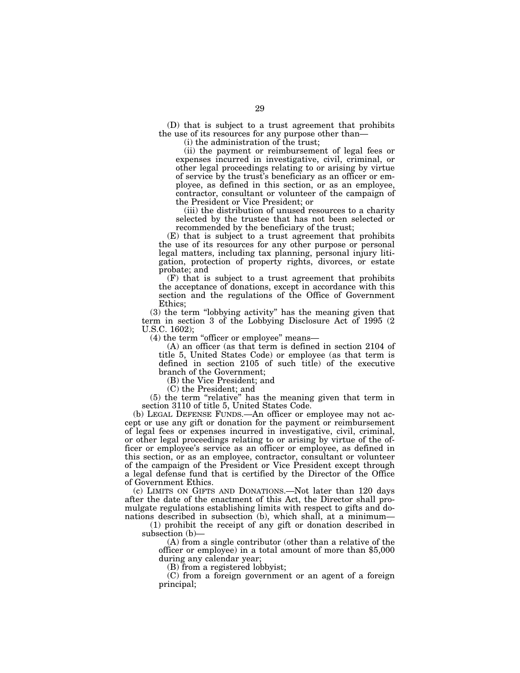(D) that is subject to a trust agreement that prohibits the use of its resources for any purpose other than—

(i) the administration of the trust;

(ii) the payment or reimbursement of legal fees or expenses incurred in investigative, civil, criminal, or other legal proceedings relating to or arising by virtue of service by the trust's beneficiary as an officer or employee, as defined in this section, or as an employee, contractor, consultant or volunteer of the campaign of the President or Vice President; or

(iii) the distribution of unused resources to a charity selected by the trustee that has not been selected or recommended by the beneficiary of the trust;

(E) that is subject to a trust agreement that prohibits the use of its resources for any other purpose or personal legal matters, including tax planning, personal injury litigation, protection of property rights, divorces, or estate probate; and

(F) that is subject to a trust agreement that prohibits the acceptance of donations, except in accordance with this section and the regulations of the Office of Government Ethics;

(3) the term ''lobbying activity'' has the meaning given that term in section 3 of the Lobbying Disclosure Act of 1995 (2 U.S.C. 1602);

(4) the term ''officer or employee'' means—

(A) an officer (as that term is defined in section 2104 of title 5, United States Code) or employee (as that term is defined in section 2105 of such title) of the executive branch of the Government;

(B) the Vice President; and

(C) the President; and

(5) the term ''relative'' has the meaning given that term in section 3110 of title 5, United States Code.

(b) LEGAL DEFENSE FUNDS.—An officer or employee may not accept or use any gift or donation for the payment or reimbursement of legal fees or expenses incurred in investigative, civil, criminal, or other legal proceedings relating to or arising by virtue of the officer or employee's service as an officer or employee, as defined in this section, or as an employee, contractor, consultant or volunteer of the campaign of the President or Vice President except through a legal defense fund that is certified by the Director of the Office of Government Ethics.

(c) LIMITS ON GIFTS AND DONATIONS.—Not later than 120 days after the date of the enactment of this Act, the Director shall promulgate regulations establishing limits with respect to gifts and donations described in subsection (b), which shall, at a minimum—

(1) prohibit the receipt of any gift or donation described in subsection (b)—<br>(A) from a single contributor (other than a relative of the

officer or employee) in a total amount of more than  $$5,000$ during any calendar year;

(B) from a registered lobbyist;

(C) from a foreign government or an agent of a foreign principal;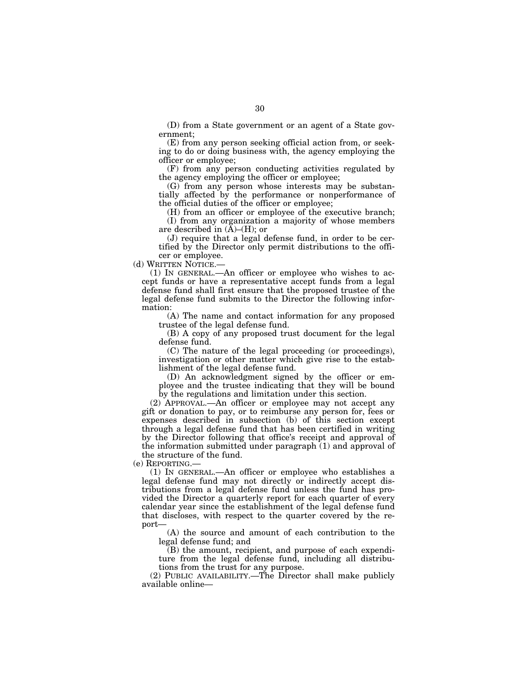(D) from a State government or an agent of a State government;

(E) from any person seeking official action from, or seeking to do or doing business with, the agency employing the officer or employee;

(F) from any person conducting activities regulated by the agency employing the officer or employee;

(G) from any person whose interests may be substantially affected by the performance or nonperformance of the official duties of the officer or employee;

(H) from an officer or employee of the executive branch; (I) from any organization a majority of whose members are described in  $(A)$ – $(H)$ ; or

(J) require that a legal defense fund, in order to be certified by the Director only permit distributions to the officer or employee.

(d) WRITTEN NOTICE.—

(1) IN GENERAL.—An officer or employee who wishes to accept funds or have a representative accept funds from a legal defense fund shall first ensure that the proposed trustee of the legal defense fund submits to the Director the following information:

(A) The name and contact information for any proposed trustee of the legal defense fund.

(B) A copy of any proposed trust document for the legal defense fund.

(C) The nature of the legal proceeding (or proceedings), investigation or other matter which give rise to the establishment of the legal defense fund.

(D) An acknowledgment signed by the officer or employee and the trustee indicating that they will be bound by the regulations and limitation under this section.

(2) APPROVAL.—An officer or employee may not accept any gift or donation to pay, or to reimburse any person for, fees or expenses described in subsection (b) of this section except through a legal defense fund that has been certified in writing by the Director following that office's receipt and approval of the information submitted under paragraph (1) and approval of the structure of the fund.

(e) REPORTING.—

(1) IN GENERAL.—An officer or employee who establishes a legal defense fund may not directly or indirectly accept distributions from a legal defense fund unless the fund has provided the Director a quarterly report for each quarter of every calendar year since the establishment of the legal defense fund that discloses, with respect to the quarter covered by the report—

(A) the source and amount of each contribution to the legal defense fund; and

(B) the amount, recipient, and purpose of each expenditure from the legal defense fund, including all distributions from the trust for any purpose.

(2) PUBLIC AVAILABILITY.—The Director shall make publicly available online—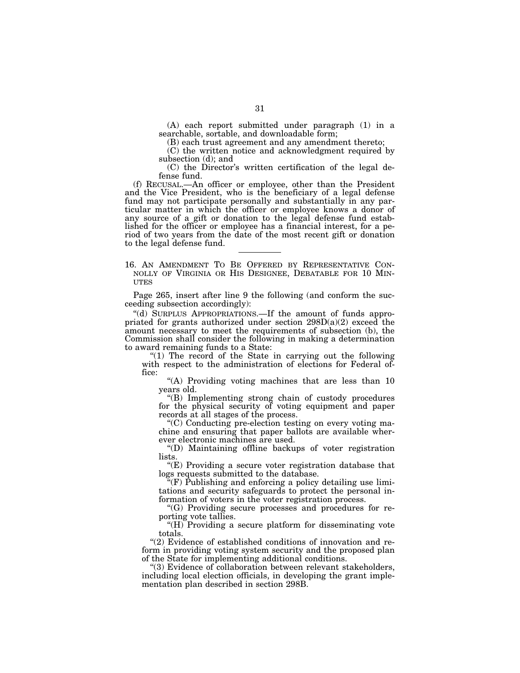(A) each report submitted under paragraph (1) in a searchable, sortable, and downloadable form;

(B) each trust agreement and any amendment thereto;

(C) the written notice and acknowledgment required by subsection (d); and

(C) the Director's written certification of the legal defense fund.

(f) RECUSAL.—An officer or employee, other than the President and the Vice President, who is the beneficiary of a legal defense fund may not participate personally and substantially in any particular matter in which the officer or employee knows a donor of any source of a gift or donation to the legal defense fund established for the officer or employee has a financial interest, for a period of two years from the date of the most recent gift or donation to the legal defense fund.

16. AN AMENDMENT TO BE OFFERED BY REPRESENTATIVE CON- NOLLY OF VIRGINIA OR HIS DESIGNEE, DEBATABLE FOR 10 MIN- UTES

Page 265, insert after line 9 the following (and conform the succeeding subsection accordingly):

''(d) SURPLUS APPROPRIATIONS.—If the amount of funds appropriated for grants authorized under section  $298D(a)(2)$  exceed the amount necessary to meet the requirements of subsection (b), the Commission shall consider the following in making a determination to award remaining funds to a State:

"(1) The record of the State in carrying out the following with respect to the administration of elections for Federal office:

''(A) Providing voting machines that are less than 10 years old.

''(B) Implementing strong chain of custody procedures for the physical security of voting equipment and paper records at all stages of the process.

''(C) Conducting pre-election testing on every voting machine and ensuring that paper ballots are available wherever electronic machines are used.

''(D) Maintaining offline backups of voter registration lists.

''(E) Providing a secure voter registration database that logs requests submitted to the database.

''(F) Publishing and enforcing a policy detailing use limitations and security safeguards to protect the personal information of voters in the voter registration process.

''(G) Providing secure processes and procedures for reporting vote tallies.

" $(H)$  Providing a secure platform for disseminating vote totals.

"(2) Evidence of established conditions of innovation and reform in providing voting system security and the proposed plan of the State for implementing additional conditions.

''(3) Evidence of collaboration between relevant stakeholders, including local election officials, in developing the grant implementation plan described in section 298B.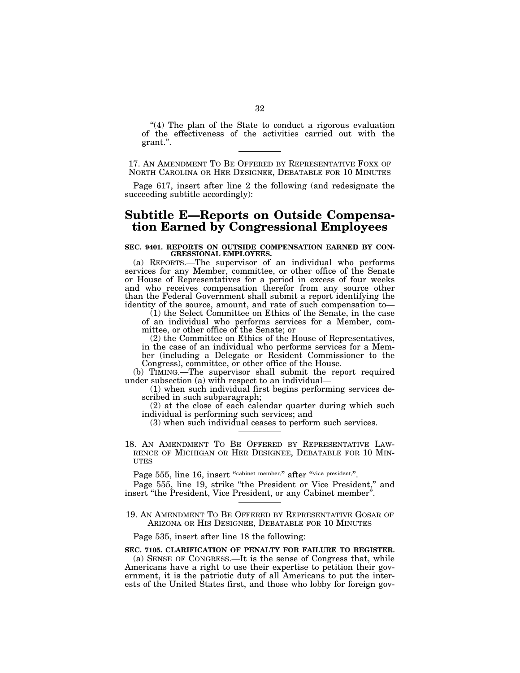$(4)$  The plan of the State to conduct a rigorous evaluation of the effectiveness of the activities carried out with the grant.''.

17. AN AMENDMENT TO BE OFFERED BY REPRESENTATIVE FOXX OF NORTH CAROLINA OR HER DESIGNEE, DEBATABLE FOR 10 MINUTES

Page 617, insert after line 2 the following (and redesignate the succeeding subtitle accordingly):

## **Subtitle E—Reports on Outside Compensation Earned by Congressional Employees**

## **SEC. 9401. REPORTS ON OUTSIDE COMPENSATION EARNED BY CON-GRESSIONAL EMPLOYEES.**

(a) REPORTS.—The supervisor of an individual who performs services for any Member, committee, or other office of the Senate or House of Representatives for a period in excess of four weeks and who receives compensation therefor from any source other than the Federal Government shall submit a report identifying the identity of the source, amount, and rate of such compensation to—

(1) the Select Committee on Ethics of the Senate, in the case of an individual who performs services for a Member, committee, or other office of the Senate; or

(2) the Committee on Ethics of the House of Representatives, in the case of an individual who performs services for a Member (including a Delegate or Resident Commissioner to the Congress), committee, or other office of the House.

(b) TIMING.—The supervisor shall submit the report required under subsection (a) with respect to an individual—

(1) when such individual first begins performing services described in such subparagraph;

(2) at the close of each calendar quarter during which such individual is performing such services; and

(3) when such individual ceases to perform such services.

18. AN AMENDMENT TO BE OFFERED BY REPRESENTATIVE LAW- RENCE OF MICHIGAN OR HER DESIGNEE, DEBATABLE FOR 10 MIN- **UTES** 

Page 555, line 16, insert "cabinet member," after "vice president,".

Page 555, line 19, strike "the President or Vice President," and insert ''the President, Vice President, or any Cabinet member''.

19. AN AMENDMENT TO BE OFFERED BY REPRESENTATIVE GOSAR OF ARIZONA OR HIS DESIGNEE, DEBATABLE FOR 10 MINUTES

Page 535, insert after line 18 the following:

## **SEC. 7105. CLARIFICATION OF PENALTY FOR FAILURE TO REGISTER.**  (a) SENSE OF CONGRESS.—It is the sense of Congress that, while Americans have a right to use their expertise to petition their government, it is the patriotic duty of all Americans to put the interests of the United States first, and those who lobby for foreign gov-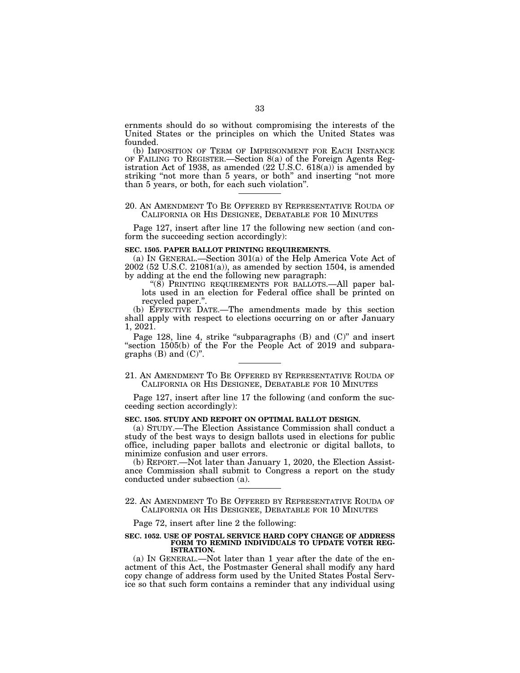ernments should do so without compromising the interests of the United States or the principles on which the United States was founded.

(b) IMPOSITION OF TERM OF IMPRISONMENT FOR EACH INSTANCE OF FAILING TO REGISTER.—Section 8(a) of the Foreign Agents Registration Act of 1938, as amended (22 U.S.C. 618(a)) is amended by striking "not more than 5 years, or both" and inserting "not more than 5 years, or both, for each such violation''.

### 20. AN AMENDMENT TO BE OFFERED BY REPRESENTATIVE ROUDA OF CALIFORNIA OR HIS DESIGNEE, DEBATABLE FOR 10 MINUTES

Page 127, insert after line 17 the following new section (and conform the succeeding section accordingly):

### **SEC. 1505. PAPER BALLOT PRINTING REQUIREMENTS.**

(a) IN GENERAL.—Section 301(a) of the Help America Vote Act of 2002 (52 U.S.C. 21081(a)), as amended by section 1504, is amended by adding at the end the following new paragraph:

"(8) PRINTING REQUIREMENTS FOR BALLOTS.—All paper ballots used in an election for Federal office shall be printed on recycled paper.''.

(b) EFFECTIVE DATE.—The amendments made by this section shall apply with respect to elections occurring on or after January 1, 2021.

Page 128, line 4, strike "subparagraphs (B) and (C)" and insert ''section 1505(b) of the For the People Act of 2019 and subparagraphs  $(B)$  and  $(C)$ ".

## 21. AN AMENDMENT TO BE OFFERED BY REPRESENTATIVE ROUDA OF CALIFORNIA OR HIS DESIGNEE, DEBATABLE FOR 10 MINUTES

Page 127, insert after line 17 the following (and conform the succeeding section accordingly):

#### **SEC. 1505. STUDY AND REPORT ON OPTIMAL BALLOT DESIGN.**

(a) STUDY.—The Election Assistance Commission shall conduct a study of the best ways to design ballots used in elections for public office, including paper ballots and electronic or digital ballots, to minimize confusion and user errors.

(b) REPORT.—Not later than January 1, 2020, the Election Assistance Commission shall submit to Congress a report on the study conducted under subsection (a).

22. AN AMENDMENT TO BE OFFERED BY REPRESENTATIVE ROUDA OF CALIFORNIA OR HIS DESIGNEE, DEBATABLE FOR 10 MINUTES

Page 72, insert after line 2 the following:

#### **SEC. 1052. USE OF POSTAL SERVICE HARD COPY CHANGE OF ADDRESS FORM TO REMIND INDIVIDUALS TO UPDATE VOTER REG-ISTRATION.**

(a) IN GENERAL.—Not later than 1 year after the date of the enactment of this Act, the Postmaster General shall modify any hard copy change of address form used by the United States Postal Service so that such form contains a reminder that any individual using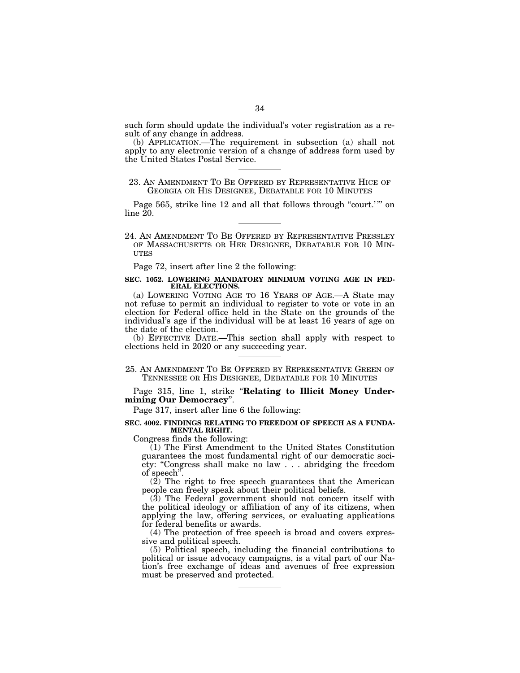such form should update the individual's voter registration as a result of any change in address.

(b) APPLICATION.—The requirement in subsection (a) shall not apply to any electronic version of a change of address form used by the United States Postal Service.

### 23. AN AMENDMENT TO BE OFFERED BY REPRESENTATIVE HICE OF GEORGIA OR HIS DESIGNEE, DEBATABLE FOR 10 MINUTES

Page 565, strike line 12 and all that follows through "court.'" on  $line 20$ .

24. AN AMENDMENT TO BE OFFERED BY REPRESENTATIVE PRESSLEY OF MASSACHUSETTS OR HER DESIGNEE, DEBATABLE FOR 10 MIN- UTES

Page 72, insert after line 2 the following:

#### **SEC. 1052. LOWERING MANDATORY MINIMUM VOTING AGE IN FED-ERAL ELECTIONS.**

(a) LOWERING VOTING AGE TO 16 YEARS OF AGE.—A State may not refuse to permit an individual to register to vote or vote in an election for Federal office held in the State on the grounds of the individual's age if the individual will be at least 16 years of age on the date of the election.

(b) EFFECTIVE DATE.—This section shall apply with respect to elections held in 2020 or any succeeding year.

25. AN AMENDMENT TO BE OFFERED BY REPRESENTATIVE GREEN OF TENNESSEE OR HIS DESIGNEE, DEBATABLE FOR 10 MINUTES

Page 315, line 1, strike ''**Relating to Illicit Money Undermining Our Democracy**''.

Page 317, insert after line 6 the following:

#### **SEC. 4002. FINDINGS RELATING TO FREEDOM OF SPEECH AS A FUNDA-MENTAL RIGHT.**

Congress finds the following:

(1) The First Amendment to the United States Constitution guarantees the most fundamental right of our democratic society: "Congress shall make no law . . . abridging the freedom of speech''.

(2) The right to free speech guarantees that the American people can freely speak about their political beliefs.

(3) The Federal government should not concern itself with the political ideology or affiliation of any of its citizens, when applying the law, offering services, or evaluating applications for federal benefits or awards.

(4) The protection of free speech is broad and covers expressive and political speech.

(5) Political speech, including the financial contributions to political or issue advocacy campaigns, is a vital part of our Nation's free exchange of ideas and avenues of free expression must be preserved and protected.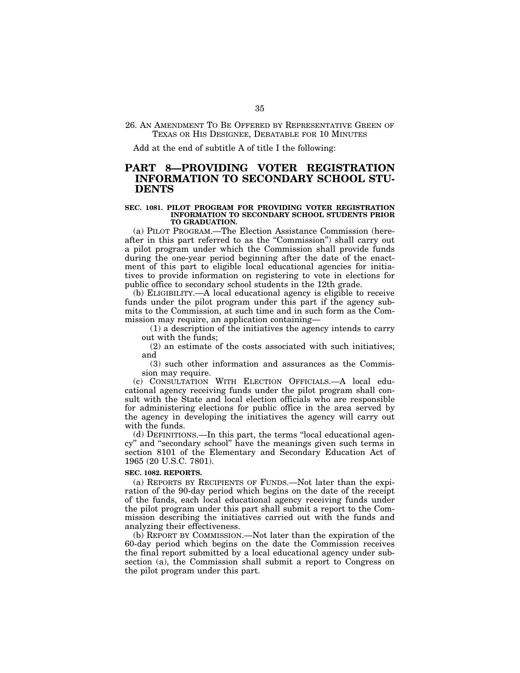### 26. AN AMENDMENT TO BE OFFERED BY REPRESENTATIVE GREEN OF TEXAS OR HIS DESIGNEE, DEBATABLE FOR 10 MINUTES

Add at the end of subtitle A of title I the following:

## **PART 8—PROVIDING VOTER REGISTRATION INFORMATION TO SECONDARY SCHOOL STU-DENTS**

#### **SEC. 1081. PILOT PROGRAM FOR PROVIDING VOTER REGISTRATION INFORMATION TO SECONDARY SCHOOL STUDENTS PRIOR TO GRADUATION.**

(a) PILOT PROGRAM.—The Election Assistance Commission (hereafter in this part referred to as the ''Commission'') shall carry out a pilot program under which the Commission shall provide funds during the one-year period beginning after the date of the enactment of this part to eligible local educational agencies for initiatives to provide information on registering to vote in elections for public office to secondary school students in the 12th grade.

(b) ELIGIBILITY.—A local educational agency is eligible to receive funds under the pilot program under this part if the agency submits to the Commission, at such time and in such form as the Commission may require, an application containing—

(1) a description of the initiatives the agency intends to carry out with the funds;

(2) an estimate of the costs associated with such initiatives; and

(3) such other information and assurances as the Commission may require.

(c) CONSULTATION WITH ELECTION OFFICIALS.—A local educational agency receiving funds under the pilot program shall consult with the State and local election officials who are responsible for administering elections for public office in the area served by the agency in developing the initiatives the agency will carry out with the funds.

(d) DEFINITIONS.—In this part, the terms ''local educational agency'' and ''secondary school'' have the meanings given such terms in section 8101 of the Elementary and Secondary Education Act of 1965 (20 U.S.C. 7801).

#### **SEC. 1082. REPORTS.**

(a) REPORTS BY RECIPIENTS OF FUNDS.—Not later than the expiration of the 90-day period which begins on the date of the receipt of the funds, each local educational agency receiving funds under the pilot program under this part shall submit a report to the Commission describing the initiatives carried out with the funds and analyzing their effectiveness.

(b) REPORT BY COMMISSION.—Not later than the expiration of the 60-day period which begins on the date the Commission receives the final report submitted by a local educational agency under subsection (a), the Commission shall submit a report to Congress on the pilot program under this part.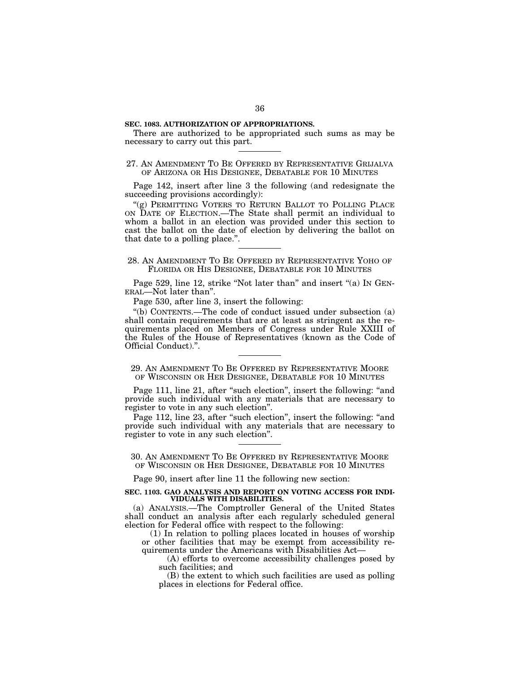## **SEC. 1083. AUTHORIZATION OF APPROPRIATIONS.**

There are authorized to be appropriated such sums as may be necessary to carry out this part.

## 27. AN AMENDMENT TO BE OFFERED BY REPRESENTATIVE GRIJALVA OF ARIZONA OR HIS DESIGNEE, DEBATABLE FOR 10 MINUTES

Page 142, insert after line 3 the following (and redesignate the succeeding provisions accordingly):

"(g) PERMITTING VOTERS TO RETURN BALLOT TO POLLING PLACE ON DATE OF ELECTION.—The State shall permit an individual to whom a ballot in an election was provided under this section to cast the ballot on the date of election by delivering the ballot on that date to a polling place.''.

## 28. AN AMENDMENT TO BE OFFERED BY REPRESENTATIVE YOHO OF FLORIDA OR HIS DESIGNEE, DEBATABLE FOR 10 MINUTES

Page 529, line 12, strike "Not later than" and insert "(a) IN GEN-ERAL—Not later than''.

Page 530, after line 3, insert the following:

''(b) CONTENTS.—The code of conduct issued under subsection (a) shall contain requirements that are at least as stringent as the requirements placed on Members of Congress under Rule XXIII of the Rules of the House of Representatives (known as the Code of Official Conduct).''.

## 29. AN AMENDMENT TO BE OFFERED BY REPRESENTATIVE MOORE OF WISCONSIN OR HER DESIGNEE, DEBATABLE FOR 10 MINUTES

Page 111, line 21, after "such election", insert the following: "and provide such individual with any materials that are necessary to register to vote in any such election''.

Page 112, line 23, after "such election", insert the following: "and provide such individual with any materials that are necessary to register to vote in any such election''.

30. AN AMENDMENT TO BE OFFERED BY REPRESENTATIVE MOORE OF WISCONSIN OR HER DESIGNEE, DEBATABLE FOR 10 MINUTES

Page 90, insert after line 11 the following new section:

#### **SEC. 1103. GAO ANALYSIS AND REPORT ON VOTING ACCESS FOR INDI-VIDUALS WITH DISABILITIES.**

(a) ANALYSIS.—The Comptroller General of the United States shall conduct an analysis after each regularly scheduled general election for Federal office with respect to the following:

(1) In relation to polling places located in houses of worship or other facilities that may be exempt from accessibility requirements under the Americans with Disabilities Act—

(A) efforts to overcome accessibility challenges posed by such facilities; and

(B) the extent to which such facilities are used as polling places in elections for Federal office.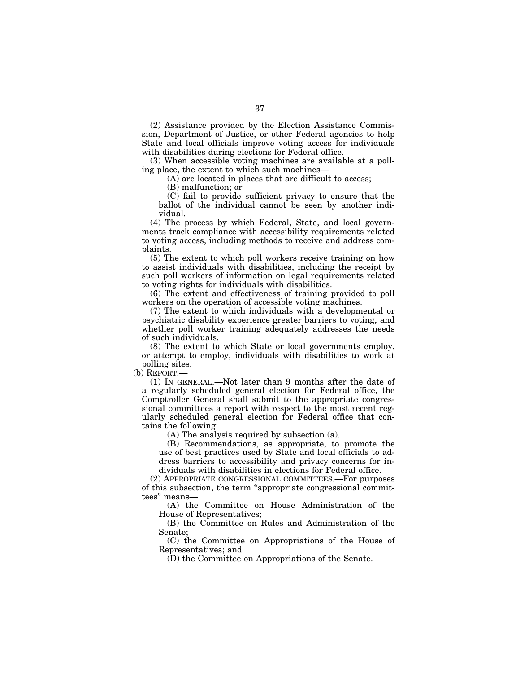(2) Assistance provided by the Election Assistance Commission, Department of Justice, or other Federal agencies to help State and local officials improve voting access for individuals with disabilities during elections for Federal office.

(3) When accessible voting machines are available at a polling place, the extent to which such machines—

(A) are located in places that are difficult to access;

(B) malfunction; or

(C) fail to provide sufficient privacy to ensure that the ballot of the individual cannot be seen by another individual.

(4) The process by which Federal, State, and local governments track compliance with accessibility requirements related to voting access, including methods to receive and address complaints.

(5) The extent to which poll workers receive training on how to assist individuals with disabilities, including the receipt by such poll workers of information on legal requirements related to voting rights for individuals with disabilities.

(6) The extent and effectiveness of training provided to poll workers on the operation of accessible voting machines.

(7) The extent to which individuals with a developmental or psychiatric disability experience greater barriers to voting, and whether poll worker training adequately addresses the needs of such individuals.

(8) The extent to which State or local governments employ, or attempt to employ, individuals with disabilities to work at polling sites.

(b) REPORT.—

(1) IN GENERAL.—Not later than 9 months after the date of a regularly scheduled general election for Federal office, the Comptroller General shall submit to the appropriate congressional committees a report with respect to the most recent regularly scheduled general election for Federal office that contains the following:

(A) The analysis required by subsection (a).

(B) Recommendations, as appropriate, to promote the use of best practices used by State and local officials to address barriers to accessibility and privacy concerns for individuals with disabilities in elections for Federal office.

(2) APPROPRIATE CONGRESSIONAL COMMITTEES.—For purposes of this subsection, the term ''appropriate congressional committees'' means—

(A) the Committee on House Administration of the House of Representatives;

(B) the Committee on Rules and Administration of the Senate;

(C) the Committee on Appropriations of the House of Representatives; and

(D) the Committee on Appropriations of the Senate.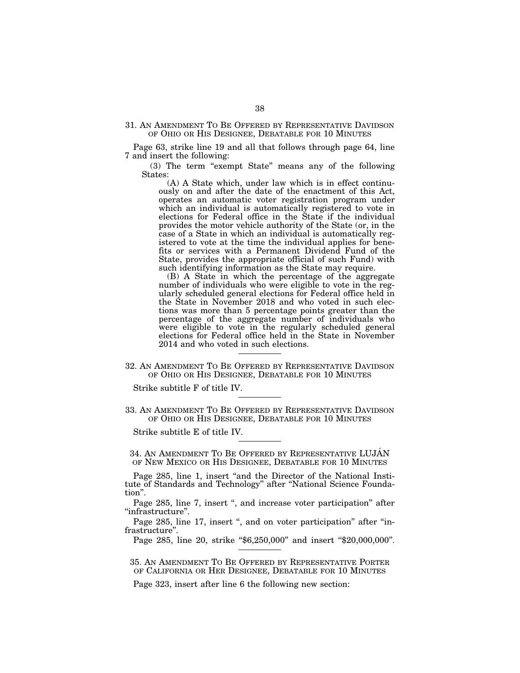31. AN AMENDMENT TO BE OFFERED BY REPRESENTATIVE DAVIDSON OF OHIO OR HIS DESIGNEE, DEBATABLE FOR 10 MINUTES

Page 63, strike line 19 and all that follows through page 64, line 7 and insert the following:

(3) The term ''exempt State'' means any of the following States:

(A) A State which, under law which is in effect continuously on and after the date of the enactment of this Act, operates an automatic voter registration program under which an individual is automatically registered to vote in elections for Federal office in the State if the individual provides the motor vehicle authority of the State (or, in the case of a State in which an individual is automatically registered to vote at the time the individual applies for benefits or services with a Permanent Dividend Fund of the State, provides the appropriate official of such Fund) with such identifying information as the State may require.

(B) A State in which the percentage of the aggregate number of individuals who were eligible to vote in the regularly scheduled general elections for Federal office held in the State in November 2018 and who voted in such elections was more than 5 percentage points greater than the percentage of the aggregate number of individuals who were eligible to vote in the regularly scheduled general elections for Federal office held in the State in November 2014 and who voted in such elections.

32. AN AMENDMENT TO BE OFFERED BY REPRESENTATIVE DAVIDSON OF OHIO OR HIS DESIGNEE, DEBATABLE FOR 10 MINUTES

Strike subtitle F of title IV.

33. AN AMENDMENT TO BE OFFERED BY REPRESENTATIVE DAVIDSON OF OHIO OR HIS DESIGNEE, DEBATABLE FOR 10 MINUTES

Strike subtitle E of title IV.

34. AN AMENDMENT TO BE OFFERED BY REPRESENTATIVE LUJAN OF NEW MEXICO OR HIS DESIGNEE, DEBATABLE FOR 10 MINUTES

Page 285, line 1, insert "and the Director of the National Institute of Standards and Technology'' after ''National Science Foundation''.

Page 285, line 7, insert ", and increase voter participation" after ''infrastructure''.

Page 285, line 17, insert ", and on voter participation" after "infrastructure''.

Page 285, line 20, strike "\$6,250,000" and insert "\$20,000,000".

35. AN AMENDMENT TO BE OFFERED BY REPRESENTATIVE PORTER OF CALIFORNIA OR HER DESIGNEE, DEBATABLE FOR 10 MINUTES

Page 323, insert after line 6 the following new section: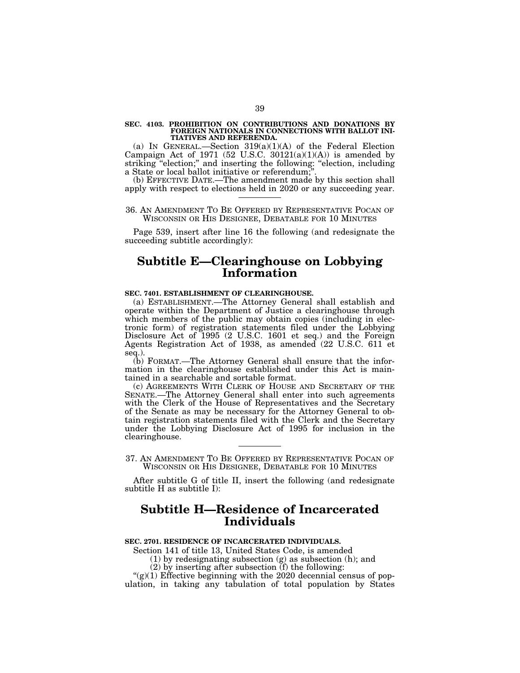# **SEC. 4103. PROHIBITION ON CONTRIBUTIONS AND DONATIONS BY FOREIGN NATIONALS IN CONNECTIONS WITH BALLOT INI-TIATIVES AND REFERENDA.**

(a) IN GENERAL.—Section  $319(a)(1)(A)$  of the Federal Election Campaign Act of 1971 (52 U.S.C.  $30121(a)(1)(A)$ ) is amended by striking "election;" and inserting the following: "election, including a State or local ballot initiative or referendum;'

(b) EFFECTIVE DATE.—The amendment made by this section shall apply with respect to elections held in 2020 or any succeeding year.

#### 36. AN AMENDMENT TO BE OFFERED BY REPRESENTATIVE POCAN OF WISCONSIN OR HIS DESIGNEE, DEBATABLE FOR 10 MINUTES

Page 539, insert after line 16 the following (and redesignate the succeeding subtitle accordingly):

## **Subtitle E—Clearinghouse on Lobbying Information**

## **SEC. 7401. ESTABLISHMENT OF CLEARINGHOUSE.**

(a) ESTABLISHMENT.—The Attorney General shall establish and operate within the Department of Justice a clearinghouse through which members of the public may obtain copies (including in electronic form) of registration statements filed under the Lobbying Disclosure Act of 1995 (2 U.S.C. 1601 et seq.) and the Foreign Agents Registration Act of 1938, as amended (22 U.S.C. 611 et seq.).

(b) FORMAT.—The Attorney General shall ensure that the information in the clearinghouse established under this Act is maintained in a searchable and sortable format.

(c) AGREEMENTS WITH CLERK OF HOUSE AND SECRETARY OF THE SENATE.—The Attorney General shall enter into such agreements with the Clerk of the House of Representatives and the Secretary of the Senate as may be necessary for the Attorney General to obtain registration statements filed with the Clerk and the Secretary under the Lobbying Disclosure Act of 1995 for inclusion in the clearinghouse.

37. AN AMENDMENT TO BE OFFERED BY REPRESENTATIVE POCAN OF WISCONSIN OR HIS DESIGNEE, DEBATABLE FOR 10 MINUTES

After subtitle G of title II, insert the following (and redesignate subtitle H as subtitle I):

## **Subtitle H—Residence of Incarcerated Individuals**

## **SEC. 2701. RESIDENCE OF INCARCERATED INDIVIDUALS.**

Section 141 of title 13, United States Code, is amended

(1) by redesignating subsection (g) as subsection (h); and

(2) by inserting after subsection (f) the following:

" $(g)(1)$  Effective beginning with the 2020 decennial census of population, in taking any tabulation of total population by States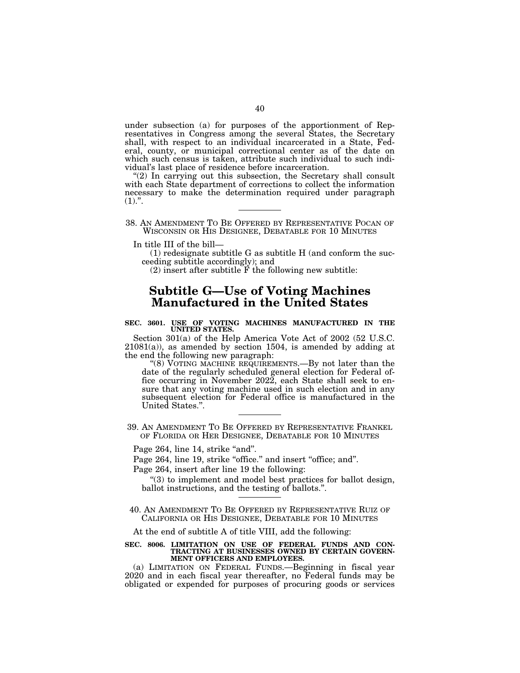under subsection (a) for purposes of the apportionment of Representatives in Congress among the several States, the Secretary shall, with respect to an individual incarcerated in a State, Federal, county, or municipal correctional center as of the date on which such census is taken, attribute such individual to such individual's last place of residence before incarceration.

"(2) In carrying out this subsection, the Secretary shall consult with each State department of corrections to collect the information necessary to make the determination required under paragraph  $(1).$ ".

38. AN AMENDMENT TO BE OFFERED BY REPRESENTATIVE POCAN OF WISCONSIN OR HIS DESIGNEE, DEBATABLE FOR 10 MINUTES

In title III of the bill—

(1) redesignate subtitle G as subtitle H (and conform the succeeding subtitle accordingly); and

 $(2)$  insert after subtitle  $\overrightarrow{F}$  the following new subtitle:

## **Subtitle G—Use of Voting Machines Manufactured in the United States**

#### **SEC. 3601. USE OF VOTING MACHINES MANUFACTURED IN THE UNITED STATES.**

Section 301(a) of the Help America Vote Act of 2002 (52 U.S.C.  $21081(a)$ , as amended by section 1504, is amended by adding at the end the following new paragraph:

''(8) VOTING MACHINE REQUIREMENTS.—By not later than the date of the regularly scheduled general election for Federal office occurring in November 2022, each State shall seek to ensure that any voting machine used in such election and in any subsequent election for Federal office is manufactured in the United States.''.

39. AN AMENDMENT TO BE OFFERED BY REPRESENTATIVE FRANKEL OF FLORIDA OR HER DESIGNEE, DEBATABLE FOR 10 MINUTES

Page 264, line 14, strike "and".

Page 264, line 19, strike "office." and insert "office; and".

Page 264, insert after line 19 the following:

''(3) to implement and model best practices for ballot design, ballot instructions, and the testing of ballots.''.

40. AN AMENDMENT TO BE OFFERED BY REPRESENTATIVE RUIZ OF CALIFORNIA OR HIS DESIGNEE, DEBATABLE FOR 10 MINUTES

At the end of subtitle A of title VIII, add the following:

#### **SEC. 8006. LIMITATION ON USE OF FEDERAL FUNDS AND CON-TRACTING AT BUSINESSES OWNED BY CERTAIN GOVERN-MENT OFFICERS AND EMPLOYEES.**

(a) LIMITATION ON FEDERAL FUNDS.—Beginning in fiscal year 2020 and in each fiscal year thereafter, no Federal funds may be obligated or expended for purposes of procuring goods or services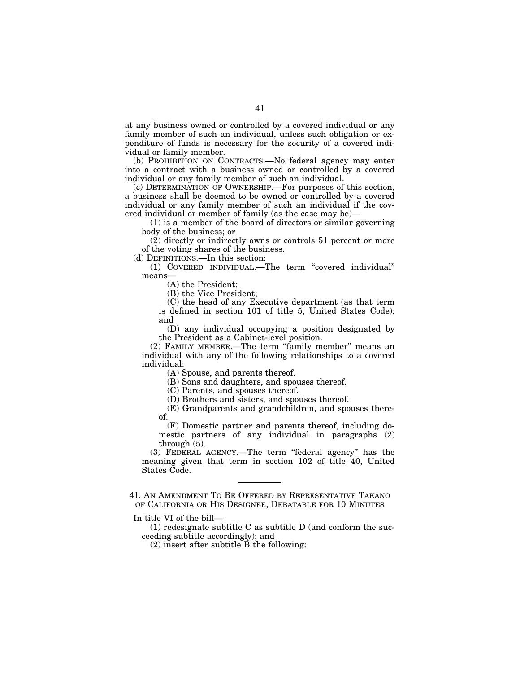at any business owned or controlled by a covered individual or any family member of such an individual, unless such obligation or expenditure of funds is necessary for the security of a covered individual or family member.

(b) PROHIBITION ON CONTRACTS.—No federal agency may enter into a contract with a business owned or controlled by a covered individual or any family member of such an individual.

(c) DETERMINATION OF OWNERSHIP.—For purposes of this section, a business shall be deemed to be owned or controlled by a covered individual or any family member of such an individual if the covered individual or member of family (as the case may be)—

(1) is a member of the board of directors or similar governing body of the business; or

(2) directly or indirectly owns or controls 51 percent or more of the voting shares of the business.

(d) DEFINITIONS.—In this section:

(1) COVERED INDIVIDUAL.—The term ''covered individual'' means—

(A) the President;

(B) the Vice President;

(C) the head of any Executive department (as that term is defined in section 101 of title 5, United States Code); and

(D) any individual occupying a position designated by the President as a Cabinet-level position.

(2) FAMILY MEMBER.—The term ''family member'' means an individual with any of the following relationships to a covered individual:

(A) Spouse, and parents thereof.

(B) Sons and daughters, and spouses thereof.

(C) Parents, and spouses thereof.

(D) Brothers and sisters, and spouses thereof.

(E) Grandparents and grandchildren, and spouses thereof.

(F) Domestic partner and parents thereof, including domestic partners of any individual in paragraphs (2) through (5).

(3) FEDERAL AGENCY.—The term ''federal agency'' has the meaning given that term in section 102 of title 40, United States Code.

41. AN AMENDMENT TO BE OFFERED BY REPRESENTATIVE TAKANO OF CALIFORNIA OR HIS DESIGNEE, DEBATABLE FOR 10 MINUTES

In title VI of the bill—

(1) redesignate subtitle C as subtitle D (and conform the succeeding subtitle accordingly); and

(2) insert after subtitle B the following: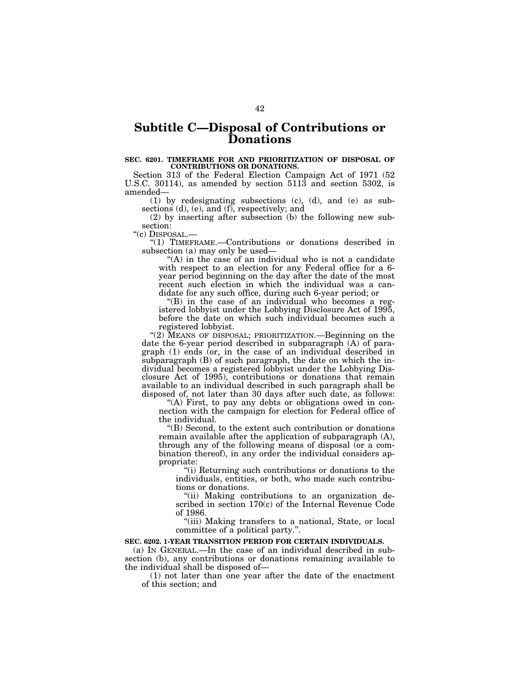## **Subtitle C—Disposal of Contributions or Donations**

#### **SEC. 6201. TIMEFRAME FOR AND PRIORITIZATION OF DISPOSAL OF CONTRIBUTIONS OR DONATIONS.**

Section 313 of the Federal Election Campaign Act of 1971 (52 U.S.C. 30114), as amended by section 5113 and section 5302, is amended—

(1) by redesignating subsections (c), (d), and (e) as subsections (d), (e), and (f), respectively; and

(2) by inserting after subsection (b) the following new sub-

section:<br>"(c) DISPOSAL.-

"(1) TIMEFRAME.-Contributions or donations described in subsection (a) may only be used—

"(A) in the case of an individual who is not a candidate with respect to an election for any Federal office for a 6 year period beginning on the day after the date of the most recent such election in which the individual was a candidate for any such office, during such 6-year period; or

''(B) in the case of an individual who becomes a registered lobbyist under the Lobbying Disclosure Act of 1995, before the date on which such individual becomes such a registered lobbyist.

"(2) MEANS OF DISPOSAL; PRIORITIZATION.—Beginning on the date the 6-year period described in subparagraph (A) of paragraph (1) ends (or, in the case of an individual described in subparagraph (B) of such paragraph, the date on which the individual becomes a registered lobbyist under the Lobbying Disclosure Act of 1995), contributions or donations that remain available to an individual described in such paragraph shall be disposed of, not later than 30 days after such date, as follows:

"(A) First, to pay any debts or obligations owed in connection with the campaign for election for Federal office of the individual.

''(B) Second, to the extent such contribution or donations remain available after the application of subparagraph (A), through any of the following means of disposal (or a combination thereof), in any order the individual considers appropriate:

''(i) Returning such contributions or donations to the individuals, entities, or both, who made such contributions or donations.

''(ii) Making contributions to an organization described in section 170(c) of the Internal Revenue Code of 1986.

''(iii) Making transfers to a national, State, or local committee of a political party.''.

## **SEC. 6202. 1-YEAR TRANSITION PERIOD FOR CERTAIN INDIVIDUALS.**

(a) IN GENERAL.—In the case of an individual described in subsection (b), any contributions or donations remaining available to the individual shall be disposed of—

(1) not later than one year after the date of the enactment of this section; and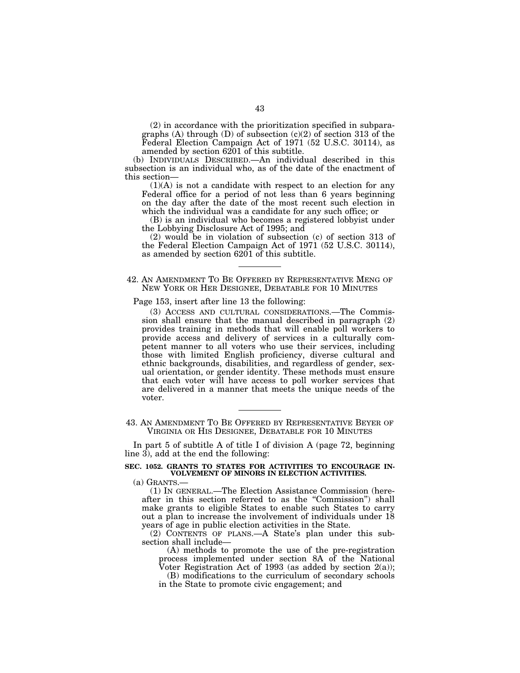(2) in accordance with the prioritization specified in subparagraphs (A) through (D) of subsection (c)(2) of section 313 of the Federal Election Campaign Act of 1971 (52 U.S.C. 30114), as amended by section 6201 of this subtitle.

(b) INDIVIDUALS DESCRIBED.—An individual described in this subsection is an individual who, as of the date of the enactment of this section—

(1)(A) is not a candidate with respect to an election for any Federal office for a period of not less than 6 years beginning on the day after the date of the most recent such election in which the individual was a candidate for any such office; or

(B) is an individual who becomes a registered lobbyist under the Lobbying Disclosure Act of 1995; and

(2) would be in violation of subsection (c) of section 313 of the Federal Election Campaign Act of 1971 (52 U.S.C. 30114), as amended by section 6201 of this subtitle.

### 42. AN AMENDMENT TO BE OFFERED BY REPRESENTATIVE MENG OF NEW YORK OR HER DESIGNEE, DEBATABLE FOR 10 MINUTES

Page 153, insert after line 13 the following:

(3) ACCESS AND CULTURAL CONSIDERATIONS.—The Commission shall ensure that the manual described in paragraph (2) provides training in methods that will enable poll workers to provide access and delivery of services in a culturally competent manner to all voters who use their services, including those with limited English proficiency, diverse cultural and ethnic backgrounds, disabilities, and regardless of gender, sexual orientation, or gender identity. These methods must ensure that each voter will have access to poll worker services that are delivered in a manner that meets the unique needs of the voter.

43. AN AMENDMENT TO BE OFFERED BY REPRESENTATIVE BEYER OF VIRGINIA OR HIS DESIGNEE, DEBATABLE FOR 10 MINUTES

In part 5 of subtitle A of title I of division A (page 72, beginning line 3), add at the end the following:

## **SEC. 1052. GRANTS TO STATES FOR ACTIVITIES TO ENCOURAGE IN-VOLVEMENT OF MINORS IN ELECTION ACTIVITIES.**

(a) GRANTS.— (1) IN GENERAL.—The Election Assistance Commission (hereafter in this section referred to as the ''Commission'') shall make grants to eligible States to enable such States to carry out a plan to increase the involvement of individuals under 18 years of age in public election activities in the State.

(2) CONTENTS OF PLANS.—A State's plan under this subsection shall include—

(A) methods to promote the use of the pre-registration process implemented under section 8A of the National Voter Registration Act of 1993 (as added by section  $2(a)$ );

(B) modifications to the curriculum of secondary schools in the State to promote civic engagement; and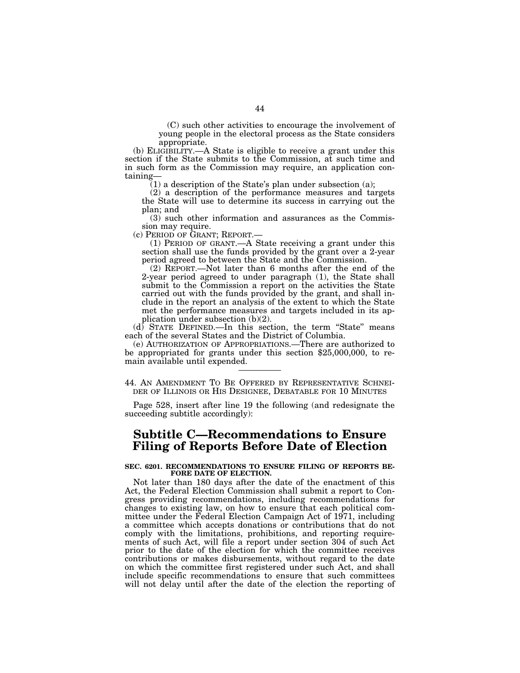(C) such other activities to encourage the involvement of young people in the electoral process as the State considers appropriate.

(b) ELIGIBILITY.—A State is eligible to receive a grant under this section if the State submits to the Commission, at such time and in such form as the Commission may require, an application containing—

(1) a description of the State's plan under subsection (a);

(2) a description of the performance measures and targets the State will use to determine its success in carrying out the plan; and

(3) such other information and assurances as the Commission may require.<br>(c) PERIOD OF GRANT; REPORT.—

(1) PERIOD OF GRANT.—A State receiving a grant under this section shall use the funds provided by the grant over a 2-year period agreed to between the State and the Commission.

(2) REPORT.—Not later than 6 months after the end of the 2-year period agreed to under paragraph (1), the State shall submit to the Commission a report on the activities the State carried out with the funds provided by the grant, and shall include in the report an analysis of the extent to which the State met the performance measures and targets included in its application under subsection (b)(2).

(d) STATE DEFINED.—In this section, the term ''State'' means each of the several States and the District of Columbia.

(e) AUTHORIZATION OF APPROPRIATIONS.—There are authorized to be appropriated for grants under this section \$25,000,000, to remain available until expended.

44. AN AMENDMENT TO BE OFFERED BY REPRESENTATIVE SCHNEI-DER OF ILLINOIS OR HIS DESIGNEE, DEBATABLE FOR 10 MINUTES

Page 528, insert after line 19 the following (and redesignate the succeeding subtitle accordingly):

## **Subtitle C—Recommendations to Ensure Filing of Reports Before Date of Election**

#### **SEC. 6201. RECOMMENDATIONS TO ENSURE FILING OF REPORTS BE-FORE DATE OF ELECTION.**

Not later than 180 days after the date of the enactment of this Act, the Federal Election Commission shall submit a report to Congress providing recommendations, including recommendations for changes to existing law, on how to ensure that each political committee under the Federal Election Campaign Act of 1971, including a committee which accepts donations or contributions that do not comply with the limitations, prohibitions, and reporting requirements of such Act, will file a report under section 304 of such Act prior to the date of the election for which the committee receives contributions or makes disbursements, without regard to the date on which the committee first registered under such Act, and shall include specific recommendations to ensure that such committees will not delay until after the date of the election the reporting of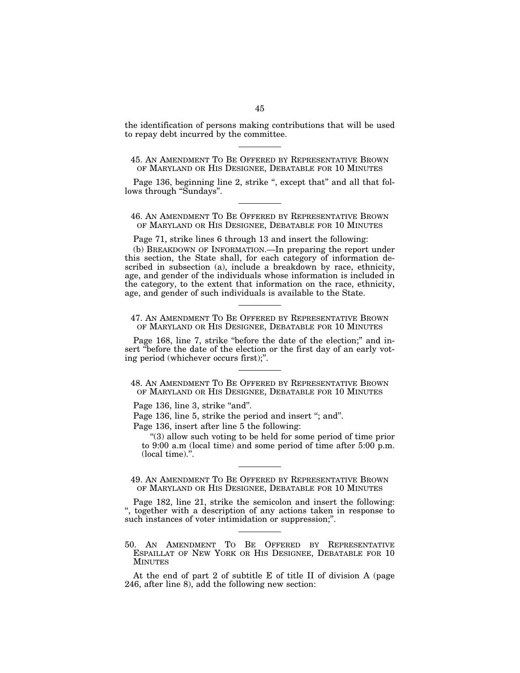the identification of persons making contributions that will be used to repay debt incurred by the committee.

45. AN AMENDMENT TO BE OFFERED BY REPRESENTATIVE BROWN OF MARYLAND OR HIS DESIGNEE, DEBATABLE FOR 10 MINUTES

Page 136, beginning line 2, strike ", except that" and all that follows through "Sundays".

46. AN AMENDMENT TO BE OFFERED BY REPRESENTATIVE BROWN OF MARYLAND OR HIS DESIGNEE, DEBATABLE FOR 10 MINUTES

Page 71, strike lines 6 through 13 and insert the following:

(b) BREAKDOWN OF INFORMATION.—In preparing the report under this section, the State shall, for each category of information described in subsection (a), include a breakdown by race, ethnicity, age, and gender of the individuals whose information is included in the category, to the extent that information on the race, ethnicity, age, and gender of such individuals is available to the State.

47. AN AMENDMENT TO BE OFFERED BY REPRESENTATIVE BROWN OF MARYLAND OR HIS DESIGNEE, DEBATABLE FOR 10 MINUTES

Page 168, line 7, strike "before the date of the election;" and insert ''before the date of the election or the first day of an early voting period (whichever occurs first);''.

48. AN AMENDMENT TO BE OFFERED BY REPRESENTATIVE BROWN OF MARYLAND OR HIS DESIGNEE, DEBATABLE FOR 10 MINUTES

Page 136, line 3, strike "and".

Page 136, line 5, strike the period and insert "; and".

Page 136, insert after line 5 the following:

''(3) allow such voting to be held for some period of time prior to 9:00 a.m (local time) and some period of time after  $5:00$  p.m. (local time).''.

49. AN AMENDMENT TO BE OFFERED BY REPRESENTATIVE BROWN OF MARYLAND OR HIS DESIGNEE, DEBATABLE FOR 10 MINUTES

Page 182, line 21, strike the semicolon and insert the following: '', together with a description of any actions taken in response to such instances of voter intimidation or suppression;".

50. AN AMENDMENT TO BE OFFERED BY REPRESENTATIVE ESPAILLAT OF NEW YORK OR HIS DESIGNEE, DEBATABLE FOR 10 MINUTES

At the end of part 2 of subtitle E of title II of division A (page 246, after line 8), add the following new section: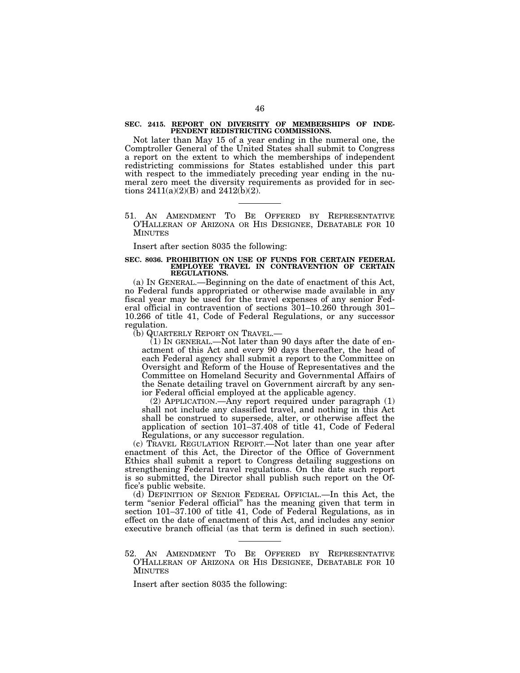#### **SEC. 2415. REPORT ON DIVERSITY OF MEMBERSHIPS OF INDE-PENDENT REDISTRICTING COMMISSIONS.**

Not later than May 15 of a year ending in the numeral one, the Comptroller General of the United States shall submit to Congress a report on the extent to which the memberships of independent redistricting commissions for States established under this part with respect to the immediately preceding year ending in the numeral zero meet the diversity requirements as provided for in sections  $2411(a)(2)(B)$  and  $2412(b)(2)$ .

51. AN AMENDMENT TO BE OFFERED BY REPRESENTATIVE O'HALLERAN OF ARIZONA OR HIS DESIGNEE, DEBATABLE FOR 10 MINUTES

#### Insert after section 8035 the following:

#### **SEC. 8036. PROHIBITION ON USE OF FUNDS FOR CERTAIN FEDERAL EMPLOYEE TRAVEL IN CONTRAVENTION OF CERTAIN REGULATIONS.**

(a) IN GENERAL.—Beginning on the date of enactment of this Act, no Federal funds appropriated or otherwise made available in any fiscal year may be used for the travel expenses of any senior Federal official in contravention of sections 301–10.260 through 301– 10.266 of title 41, Code of Federal Regulations, or any successor regulation.

(b) QUARTERLY REPORT ON TRAVEL.—

 $(1)$  In GENERAL.—Not later than 90 days after the date of enactment of this Act and every 90 days thereafter, the head of each Federal agency shall submit a report to the Committee on Oversight and Reform of the House of Representatives and the Committee on Homeland Security and Governmental Affairs of the Senate detailing travel on Government aircraft by any senior Federal official employed at the applicable agency.

(2) APPLICATION.—Any report required under paragraph (1) shall not include any classified travel, and nothing in this Act shall be construed to supersede, alter, or otherwise affect the application of section 101–37.408 of title 41, Code of Federal Regulations, or any successor regulation.

(c) TRAVEL REGULATION REPORT.—Not later than one year after enactment of this Act, the Director of the Office of Government Ethics shall submit a report to Congress detailing suggestions on strengthening Federal travel regulations. On the date such report is so submitted, the Director shall publish such report on the Office's public website.

(d) DEFINITION OF SENIOR FEDERAL OFFICIAL.—In this Act, the term ''senior Federal official'' has the meaning given that term in section 101–37.100 of title 41, Code of Federal Regulations, as in effect on the date of enactment of this Act, and includes any senior executive branch official (as that term is defined in such section).

52. AN AMENDMENT TO BE OFFERED BY REPRESENTATIVE O'HALLERAN OF ARIZONA OR HIS DESIGNEE, DEBATABLE FOR 10 MINUTES

Insert after section 8035 the following: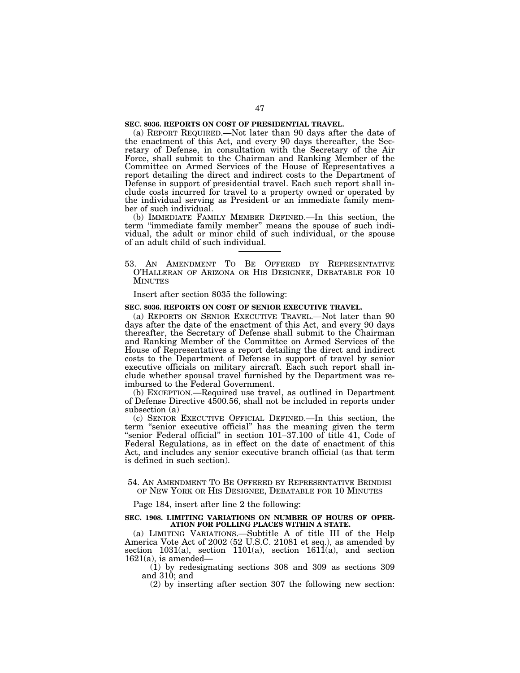## **SEC. 8036. REPORTS ON COST OF PRESIDENTIAL TRAVEL.**

(a) REPORT REQUIRED.—Not later than 90 days after the date of the enactment of this Act, and every 90 days thereafter, the Secretary of Defense, in consultation with the Secretary of the Air Force, shall submit to the Chairman and Ranking Member of the Committee on Armed Services of the House of Representatives a report detailing the direct and indirect costs to the Department of Defense in support of presidential travel. Each such report shall include costs incurred for travel to a property owned or operated by the individual serving as President or an immediate family member of such individual.

(b) IMMEDIATE FAMILY MEMBER DEFINED.—In this section, the term ''immediate family member'' means the spouse of such individual, the adult or minor child of such individual, or the spouse of an adult child of such individual.

53. AN AMENDMENT TO BE OFFERED BY REPRESENTATIVE O'HALLERAN OF ARIZONA OR HIS DESIGNEE, DEBATABLE FOR 10 MINUTES

Insert after section 8035 the following:

#### **SEC. 8036. REPORTS ON COST OF SENIOR EXECUTIVE TRAVEL.**

(a) REPORTS ON SENIOR EXECUTIVE TRAVEL.—Not later than 90 days after the date of the enactment of this Act, and every 90 days thereafter, the Secretary of Defense shall submit to the Chairman and Ranking Member of the Committee on Armed Services of the House of Representatives a report detailing the direct and indirect costs to the Department of Defense in support of travel by senior executive officials on military aircraft. Each such report shall include whether spousal travel furnished by the Department was reimbursed to the Federal Government.

(b) EXCEPTION.—Required use travel, as outlined in Department of Defense Directive 4500.56, shall not be included in reports under subsection (a)

(c) SENIOR EXECUTIVE OFFICIAL DEFINED.—In this section, the term ''senior executive official'' has the meaning given the term "senior Federal official" in section 101–37.100 of title 41, Code of Federal Regulations, as in effect on the date of enactment of this Act, and includes any senior executive branch official (as that term is defined in such section).

54. AN AMENDMENT TO BE OFFERED BY REPRESENTATIVE BRINDISI OF NEW YORK OR HIS DESIGNEE, DEBATABLE FOR 10 MINUTES

Page 184, insert after line 2 the following:

#### **SEC. 1908. LIMITING VARIATIONS ON NUMBER OF HOURS OF OPER-ATION FOR POLLING PLACES WITHIN A STATE.**

(a) LIMITING VARIATIONS.—Subtitle A of title III of the Help America Vote Act of 2002 (52 U.S.C. 21081 et seq.), as amended by section 1031(a), section 1101(a), section 1611(a), and section  $1621(a)$ , is amended-

(1) by redesignating sections 308 and 309 as sections 309 and 310; and

(2) by inserting after section 307 the following new section: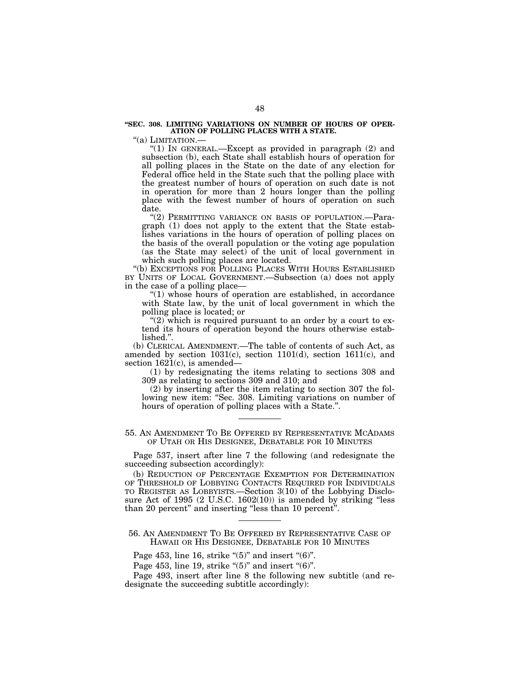#### **''SEC. 308. LIMITING VARIATIONS ON NUMBER OF HOURS OF OPER-ATION OF POLLING PLACES WITH A STATE.**

"(a) LIMITATION.-

"(1) In GENERAL.—Except as provided in paragraph (2) and subsection (b), each State shall establish hours of operation for all polling places in the State on the date of any election for Federal office held in the State such that the polling place with the greatest number of hours of operation on such date is not in operation for more than 2 hours longer than the polling place with the fewest number of hours of operation on such date.

"(2) PERMITTING VARIANCE ON BASIS OF POPULATION.—Paragraph (1) does not apply to the extent that the State establishes variations in the hours of operation of polling places on the basis of the overall population or the voting age population (as the State may select) of the unit of local government in which such polling places are located.

"(b) EXCEPTIONS FOR POLLING PLACES WITH HOURS ESTABLISHED BY UNITS OF LOCAL GOVERNMENT.—Subsection (a) does not apply in the case of a polling place—

"(1) whose hours of operation are established, in accordance with State law, by the unit of local government in which the polling place is located; or

" $(2)$  which is required pursuant to an order by a court to extend its hours of operation beyond the hours otherwise established.''.

(b) CLERICAL AMENDMENT.—The table of contents of such Act, as amended by section 1031(c), section 1101(d), section 1611(c), and section  $1621(c)$ , is amended–

(1) by redesignating the items relating to sections 308 and 309 as relating to sections 309 and 310; and

(2) by inserting after the item relating to section 307 the following new item: "Sec. 308. Limiting variations on number of hours of operation of polling places with a State.''.

55. AN AMENDMENT TO BE OFFERED BY REPRESENTATIVE MCADAMS OF UTAH OR HIS DESIGNEE, DEBATABLE FOR 10 MINUTES

Page 537, insert after line 7 the following (and redesignate the succeeding subsection accordingly):

(b) REDUCTION OF PERCENTAGE EXEMPTION FOR DETERMINATION OF THRESHOLD OF LOBBYING CONTACTS REQUIRED FOR INDIVIDUALS TO REGISTER AS LOBBYISTS.—Section 3(10) of the Lobbying Disclosure Act of 1995  $(2 \text{ U.S.C. } 1602(10))$  is amended by striking "less than 20 percent" and inserting "less than 10 percent".

56. AN AMENDMENT TO BE OFFERED BY REPRESENTATIVE CASE OF HAWAII OR HIS DESIGNEE, DEBATABLE FOR 10 MINUTES

Page 453, line 16, strike " $(5)$ " and insert " $(6)$ ".

Page 453, line 19, strike " $(5)$ " and insert " $(6)$ ".

Page 493, insert after line 8 the following new subtitle (and redesignate the succeeding subtitle accordingly):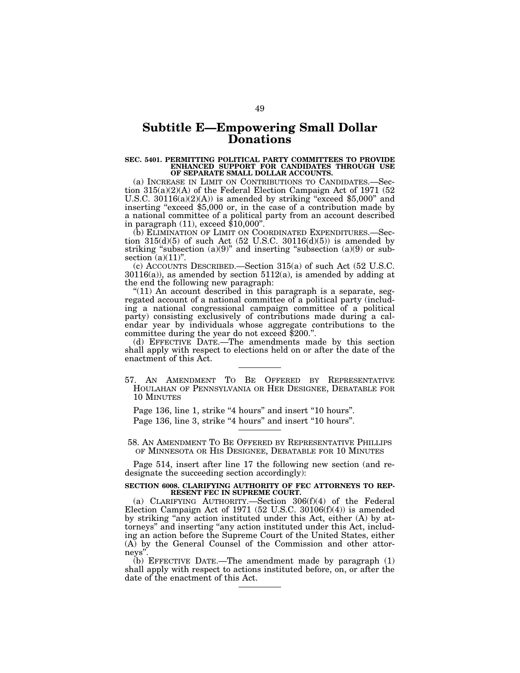## **Subtitle E—Empowering Small Dollar Donations**

## **SEC. 5401. PERMITTING POLITICAL PARTY COMMITTEES TO PROVIDE ENHANCED SUPPORT FOR CANDIDATES THROUGH USE OF SEPARATE SMALL DOLLAR ACCOUNTS.**

(a) INCREASE IN LIMIT ON CONTRIBUTIONS TO CANDIDATES.—Section  $315(a)(2)(A)$  of the Federal Election Campaign Act of 1971 (52) U.S.C.  $30116(a)(2)(A)$  is amended by striking "exceed \$5,000" and inserting "exceed \$5,000 or, in the case of a contribution made by a national committee of a political party from an account described in paragraph  $(11)$ , exceed  $$10,000$ ".

(b) ELIMINATION OF LIMIT ON COORDINATED EXPENDITURES.—Section  $315(d)(5)$  of such Act  $(52 \text{ U.S.C. } 30116(d)(5))$  is amended by striking "subsection  $(a)(9)$ " and inserting "subsection  $(a)(9)$  or subsection  $(a)(11)$ ".

(c) ACCOUNTS DESCRIBED.—Section 315(a) of such Act (52 U.S.C.  $30116(a)$ , as amended by section  $5112(a)$ , is amended by adding at the end the following new paragraph:

" $(11)$  An account described in this paragraph is a separate, segregated account of a national committee of a political party (including a national congressional campaign committee of a political party) consisting exclusively of contributions made during a calendar year by individuals whose aggregate contributions to the committee during the year do not exceed \$200.''.

(d) EFFECTIVE DATE.—The amendments made by this section shall apply with respect to elections held on or after the date of the enactment of this Act.

57. AN AMENDMENT TO BE OFFERED BY REPRESENTATIVE HOULAHAN OF PENNSYLVANIA OR HER DESIGNEE, DEBATABLE FOR 10 MINUTES

Page 136, line 1, strike "4 hours" and insert "10 hours". Page 136, line 3, strike "4 hours" and insert "10 hours".

58. AN AMENDMENT TO BE OFFERED BY REPRESENTATIVE PHILLIPS OF MINNESOTA OR HIS DESIGNEE, DEBATABLE FOR 10 MINUTES

Page 514, insert after line 17 the following new section (and redesignate the succeeding section accordingly):

#### **SECTION 6008. CLARIFYING AUTHORITY OF FEC ATTORNEYS TO REP-RESENT FEC IN SUPREME COURT.**

(a) CLARIFYING AUTHORITY.—Section 306(f)(4) of the Federal Election Campaign Act of 1971 (52 U.S.C.  $30106(f)(4)$ ) is amended by striking ''any action instituted under this Act, either (A) by attorneys'' and inserting ''any action instituted under this Act, including an action before the Supreme Court of the United States, either (A) by the General Counsel of the Commission and other attorneys''.

(b) EFFECTIVE DATE.—The amendment made by paragraph (1) shall apply with respect to actions instituted before, on, or after the date of the enactment of this Act.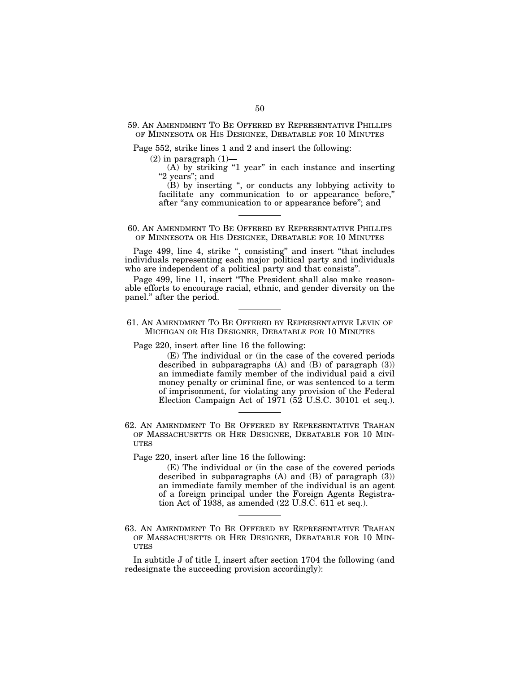## 59. AN AMENDMENT TO BE OFFERED BY REPRESENTATIVE PHILLIPS OF MINNESOTA OR HIS DESIGNEE, DEBATABLE FOR 10 MINUTES

Page 552, strike lines 1 and 2 and insert the following:

 $(2)$  in paragraph  $(1)$ —

 $(A)$  by striking "1 year" in each instance and inserting "2 years"; and

(B) by inserting '', or conducts any lobbying activity to facilitate any communication to or appearance before,'' after "any communication to or appearance before"; and

60. AN AMENDMENT TO BE OFFERED BY REPRESENTATIVE PHILLIPS OF MINNESOTA OR HIS DESIGNEE, DEBATABLE FOR 10 MINUTES

Page 499, line 4, strike ", consisting" and insert "that includes individuals representing each major political party and individuals who are independent of a political party and that consists''.

Page 499, line 11, insert "The President shall also make reasonable efforts to encourage racial, ethnic, and gender diversity on the panel.'' after the period.

61. AN AMENDMENT TO BE OFFERED BY REPRESENTATIVE LEVIN OF MICHIGAN OR HIS DESIGNEE, DEBATABLE FOR 10 MINUTES

Page 220, insert after line 16 the following:

(E) The individual or (in the case of the covered periods described in subparagraphs  $(A)$  and  $(B)$  of paragraph  $(3)$ ) an immediate family member of the individual paid a civil money penalty or criminal fine, or was sentenced to a term of imprisonment, for violating any provision of the Federal Election Campaign Act of 1971 (52 U.S.C. 30101 et seq.).

62. AN AMENDMENT TO BE OFFERED BY REPRESENTATIVE TRAHAN OF MASSACHUSETTS OR HER DESIGNEE, DEBATABLE FOR 10 MIN-**UTES** 

Page 220, insert after line 16 the following:

(E) The individual or (in the case of the covered periods described in subparagraphs  $(A)$  and  $(B)$  of paragraph  $(3)$ ) an immediate family member of the individual is an agent of a foreign principal under the Foreign Agents Registration Act of 1938, as amended (22 U.S.C. 611 et seq.).

63. AN AMENDMENT TO BE OFFERED BY REPRESENTATIVE TRAHAN OF MASSACHUSETTS OR HER DESIGNEE, DEBATABLE FOR 10 MIN-**UTES** 

In subtitle J of title I, insert after section 1704 the following (and redesignate the succeeding provision accordingly):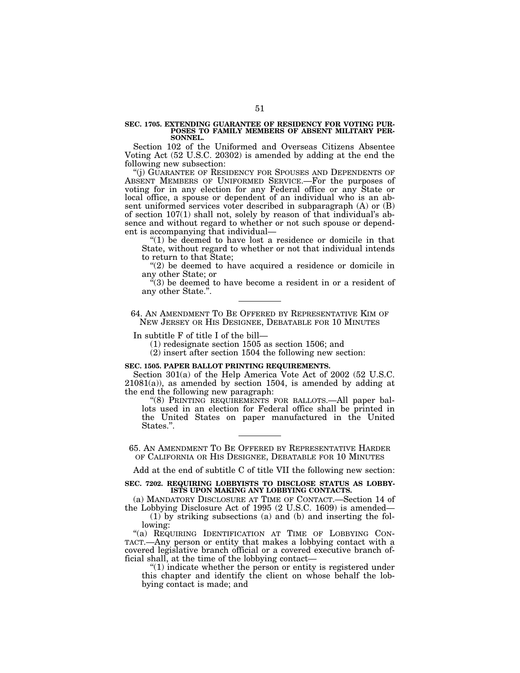#### **SEC. 1705. EXTENDING GUARANTEE OF RESIDENCY FOR VOTING PUR-POSES TO FAMILY MEMBERS OF ABSENT MILITARY PER-SONNEL.**

Section 102 of the Uniformed and Overseas Citizens Absentee Voting Act (52 U.S.C. 20302) is amended by adding at the end the following new subsection:

''(j) GUARANTEE OF RESIDENCY FOR SPOUSES AND DEPENDENTS OF ABSENT MEMBERS OF UNIFORMED SERVICE.—For the purposes of voting for in any election for any Federal office or any State or local office, a spouse or dependent of an individual who is an absent uniformed services voter described in subparagraph (A) or (B) of section 107(1) shall not, solely by reason of that individual's absence and without regard to whether or not such spouse or dependent is accompanying that individual—

''(1) be deemed to have lost a residence or domicile in that State, without regard to whether or not that individual intends to return to that State;

''(2) be deemed to have acquired a residence or domicile in any other State; or

"(3) be deemed to have become a resident in or a resident of any other State.''.

64. AN AMENDMENT TO BE OFFERED BY REPRESENTATIVE KIM OF NEW JERSEY OR HIS DESIGNEE, DEBATABLE FOR 10 MINUTES

In subtitle F of title I of the bill—

(1) redesignate section 1505 as section 1506; and

(2) insert after section 1504 the following new section:

#### **SEC. 1505. PAPER BALLOT PRINTING REQUIREMENTS.**

Section 301(a) of the Help America Vote Act of 2002 (52 U.S.C.  $21081(a)$ , as amended by section 1504, is amended by adding at the end the following new paragraph:

"(8) PRINTING REQUIREMENTS FOR BALLOTS.—All paper ballots used in an election for Federal office shall be printed in the United States on paper manufactured in the United States.''.

65. AN AMENDMENT TO BE OFFERED BY REPRESENTATIVE HARDER OF CALIFORNIA OR HIS DESIGNEE, DEBATABLE FOR 10 MINUTES

Add at the end of subtitle C of title VII the following new section:

#### **SEC. 7202. REQUIRING LOBBYISTS TO DISCLOSE STATUS AS LOBBY-ISTS UPON MAKING ANY LOBBYING CONTACTS.**

(a) MANDATORY DISCLOSURE AT TIME OF CONTACT.—Section 14 of the Lobbying Disclosure Act of 1995 (2 U.S.C. 1609) is amended—

(1) by striking subsections (a) and (b) and inserting the following:

"(a) REQUIRING IDENTIFICATION AT TIME OF LOBBYING CON-TACT.—Any person or entity that makes a lobbying contact with a covered legislative branch official or a covered executive branch official shall, at the time of the lobbying contact—

 $''(1)$  indicate whether the person or entity is registered under this chapter and identify the client on whose behalf the lobbying contact is made; and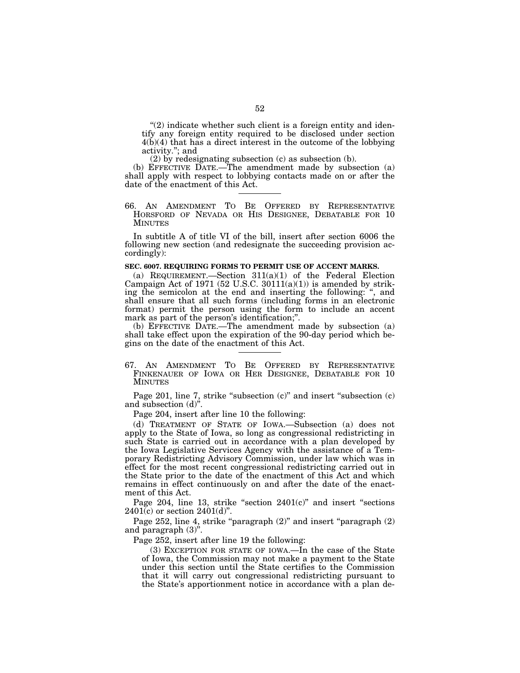$''(2)$  indicate whether such client is a foreign entity and identify any foreign entity required to be disclosed under section 4(b)(4) that has a direct interest in the outcome of the lobbying activity.''; and

(2) by redesignating subsection (c) as subsection (b).

(b) EFFECTIVE DATE.—The amendment made by subsection (a) shall apply with respect to lobbying contacts made on or after the date of the enactment of this Act.

66. AN AMENDMENT TO BE OFFERED BY REPRESENTATIVE HORSFORD OF NEVADA OR HIS DESIGNEE, DEBATABLE FOR 10 MINUTES

In subtitle A of title VI of the bill, insert after section 6006 the following new section (and redesignate the succeeding provision accordingly):

### **SEC. 6007. REQUIRING FORMS TO PERMIT USE OF ACCENT MARKS.**

(a) REQUIREMENT.—Section  $311(a)(1)$  of the Federal Election Campaign Act of 1971 (52 U.S.C.  $30111(a)(1)$ ) is amended by striking the semicolon at the end and inserting the following: '', and shall ensure that all such forms (including forms in an electronic format) permit the person using the form to include an accent mark as part of the person's identification;''.

(b) EFFECTIVE DATE.—The amendment made by subsection (a) shall take effect upon the expiration of the 90-day period which begins on the date of the enactment of this Act.

67. AN AMENDMENT TO BE OFFERED BY REPRESENTATIVE FINKENAUER OF IOWA OR HER DESIGNEE, DEBATABLE FOR 10 MINUTES

Page 201, line 7, strike "subsection (c)" and insert "subsection (c) and subsection (d)''.

Page 204, insert after line 10 the following:

(d) TREATMENT OF STATE OF IOWA.—Subsection (a) does not apply to the State of Iowa, so long as congressional redistricting in such State is carried out in accordance with a plan developed by the Iowa Legislative Services Agency with the assistance of a Temporary Redistricting Advisory Commission, under law which was in effect for the most recent congressional redistricting carried out in the State prior to the date of the enactment of this Act and which remains in effect continuously on and after the date of the enactment of this Act.

Page 204, line 13, strike "section  $2401(c)$ " and insert "sections  $2401(c)$  or section  $2401(d)$ ".

Page 252, line 4, strike "paragraph  $(2)$ " and insert "paragraph  $(2)$ and paragraph (3)''.

Page 252, insert after line 19 the following:

(3) EXCEPTION FOR STATE OF IOWA.—In the case of the State of Iowa, the Commission may not make a payment to the State under this section until the State certifies to the Commission that it will carry out congressional redistricting pursuant to the State's apportionment notice in accordance with a plan de-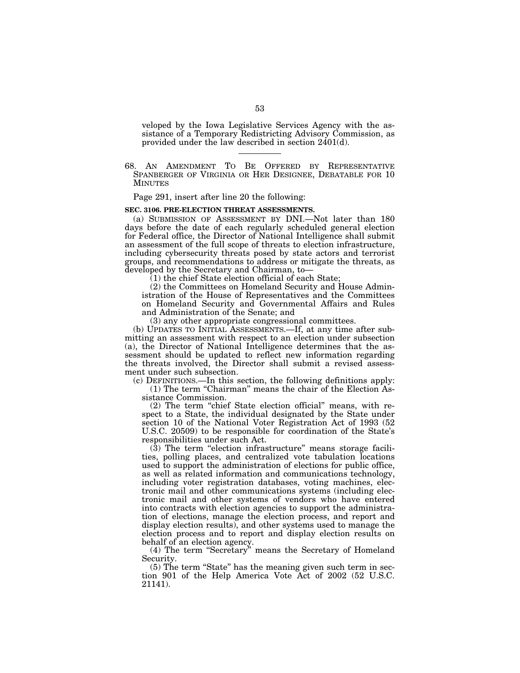veloped by the Iowa Legislative Services Agency with the assistance of a Temporary Redistricting Advisory Commission, as provided under the law described in section 2401(d).

68. AN AMENDMENT TO BE OFFERED BY REPRESENTATIVE SPANBERGER OF VIRGINIA OR HER DESIGNEE, DEBATABLE FOR 10 MINUTES

Page 291, insert after line 20 the following:

### **SEC. 3106. PRE-ELECTION THREAT ASSESSMENTS.**

(a) SUBMISSION OF ASSESSMENT BY DNI.—Not later than 180 days before the date of each regularly scheduled general election for Federal office, the Director of National Intelligence shall submit an assessment of the full scope of threats to election infrastructure, including cybersecurity threats posed by state actors and terrorist groups, and recommendations to address or mitigate the threats, as developed by the Secretary and Chairman, to—

(1) the chief State election official of each State;

(2) the Committees on Homeland Security and House Administration of the House of Representatives and the Committees on Homeland Security and Governmental Affairs and Rules and Administration of the Senate; and

(3) any other appropriate congressional committees.

(b) UPDATES TO INITIAL ASSESSMENTS.—If, at any time after submitting an assessment with respect to an election under subsection (a), the Director of National Intelligence determines that the assessment should be updated to reflect new information regarding the threats involved, the Director shall submit a revised assessment under such subsection.

(c) DEFINITIONS.—In this section, the following definitions apply:  $(1)$  The term "Chairman" means the chair of the Election As-

sistance Commission.

(2) The term ''chief State election official'' means, with respect to a State, the individual designated by the State under section 10 of the National Voter Registration Act of 1993 (52 U.S.C. 20509) to be responsible for coordination of the State's responsibilities under such Act.

 $(3)$  The term "election infrastructure" means storage facilities, polling places, and centralized vote tabulation locations used to support the administration of elections for public office, as well as related information and communications technology, including voter registration databases, voting machines, electronic mail and other communications systems (including electronic mail and other systems of vendors who have entered into contracts with election agencies to support the administration of elections, manage the election process, and report and display election results), and other systems used to manage the election process and to report and display election results on behalf of an election agency.

(4) The term ''Secretary'' means the Secretary of Homeland Security.

(5) The term ''State'' has the meaning given such term in section 901 of the Help America Vote Act of 2002 (52 U.S.C. 21141).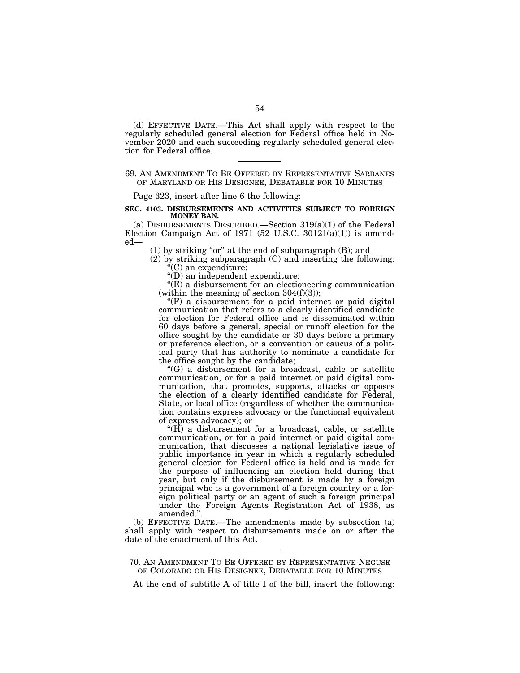(d) EFFECTIVE DATE.—This Act shall apply with respect to the regularly scheduled general election for Federal office held in November 2020 and each succeeding regularly scheduled general election for Federal office.

## 69. AN AMENDMENT TO BE OFFERED BY REPRESENTATIVE SARBANES OF MARYLAND OR HIS DESIGNEE, DEBATABLE FOR 10 MINUTES

Page 323, insert after line 6 the following:

## **SEC. 4103. DISBURSEMENTS AND ACTIVITIES SUBJECT TO FOREIGN MONEY BAN.**

(a) DISBURSEMENTS DESCRIBED.—Section  $319(a)(1)$  of the Federal Election Campaign Act of 1971 (52 U.S.C. 30121(a)(1)) is amended—

 $(1)$  by striking "or" at the end of subparagraph  $(B)$ ; and

(2) by striking subparagraph (C) and inserting the following: ''(C) an expenditure;

''(D) an independent expenditure;

''(E) a disbursement for an electioneering communication (within the meaning of section  $304(f)(3)$ );

 $(F)$  a disbursement for a paid internet or paid digital communication that refers to a clearly identified candidate for election for Federal office and is disseminated within 60 days before a general, special or runoff election for the office sought by the candidate or 30 days before a primary or preference election, or a convention or caucus of a political party that has authority to nominate a candidate for the office sought by the candidate;

''(G) a disbursement for a broadcast, cable or satellite communication, or for a paid internet or paid digital communication, that promotes, supports, attacks or opposes the election of a clearly identified candidate for Federal, State, or local office (regardless of whether the communication contains express advocacy or the functional equivalent of express advocacy); or

 $H$ ) a disbursement for a broadcast, cable, or satellite communication, or for a paid internet or paid digital communication, that discusses a national legislative issue of public importance in year in which a regularly scheduled general election for Federal office is held and is made for the purpose of influencing an election held during that year, but only if the disbursement is made by a foreign principal who is a government of a foreign country or a foreign political party or an agent of such a foreign principal under the Foreign Agents Registration Act of 1938, as amended.''.

(b) EFFECTIVE DATE.—The amendments made by subsection (a) shall apply with respect to disbursements made on or after the date of the enactment of this Act.

## 70. AN AMENDMENT TO BE OFFERED BY REPRESENTATIVE NEGUSE OF COLORADO OR HIS DESIGNEE, DEBATABLE FOR 10 MINUTES

At the end of subtitle A of title I of the bill, insert the following: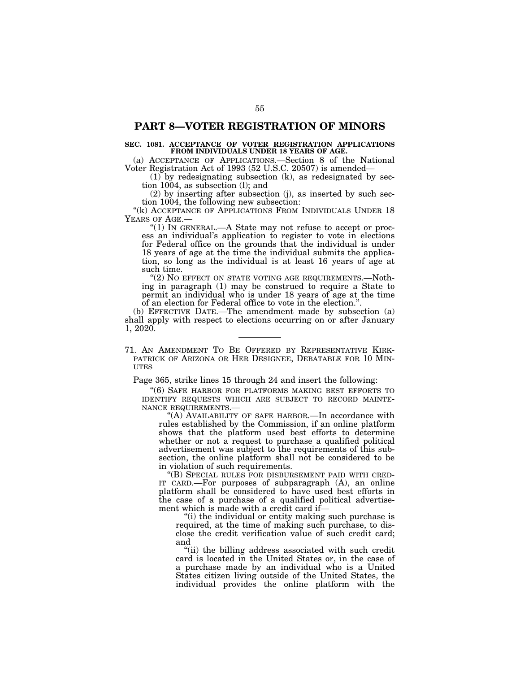## **PART 8—VOTER REGISTRATION OF MINORS**

## **SEC. 1081. ACCEPTANCE OF VOTER REGISTRATION APPLICATIONS FROM INDIVIDUALS UNDER 18 YEARS OF AGE.**

(a) ACCEPTANCE OF APPLICATIONS.—Section 8 of the National Voter Registration Act of 1993 (52 U.S.C. 20507) is amended—

(1) by redesignating subsection (k), as redesignated by section 1004, as subsection (l); and

(2) by inserting after subsection (j), as inserted by such section 1004, the following new subsection:

"(k) ACCEPTANCE OF APPLICATIONS FROM INDIVIDUALS UNDER 18 YEARS OF AGE.—<br>"(1) IN GENERAL.—A State may not refuse to accept or proc-

ess an individual's application to register to vote in elections for Federal office on the grounds that the individual is under 18 years of age at the time the individual submits the application, so long as the individual is at least 16 years of age at such time.

"(2) NO EFFECT ON STATE VOTING AGE REQUIREMENTS.-Nothing in paragraph (1) may be construed to require a State to permit an individual who is under 18 years of age at the time of an election for Federal office to vote in the election.''.

(b) EFFECTIVE DATE.—The amendment made by subsection (a) shall apply with respect to elections occurring on or after January 1, 2020.

71. AN AMENDMENT TO BE OFFERED BY REPRESENTATIVE KIRK- PATRICK OF ARIZONA OR HER DESIGNEE, DEBATABLE FOR 10 MIN- **UTES** 

Page 365, strike lines 15 through 24 and insert the following:

''(6) SAFE HARBOR FOR PLATFORMS MAKING BEST EFFORTS TO IDENTIFY REQUESTS WHICH ARE SUBJECT TO RECORD MAINTE-<br>NANCE REQUIREMENTS.—<br>"(A) AVAILABILITY OF SAFE HARBOR.—In accordance with

rules established by the Commission, if an online platform shows that the platform used best efforts to determine whether or not a request to purchase a qualified political advertisement was subject to the requirements of this subsection, the online platform shall not be considered to be in violation of such requirements.<br>"(B) SPECIAL RULES FOR DISBURSEMENT PAID WITH CRED-

IT CARD.—For purposes of subparagraph  $(A)$ , an online platform shall be considered to have used best efforts in the case of a purchase of a qualified political advertisement which is made with a credit card if—

''(i) the individual or entity making such purchase is required, at the time of making such purchase, to disclose the credit verification value of such credit card; and

"(ii) the billing address associated with such credit card is located in the United States or, in the case of a purchase made by an individual who is a United States citizen living outside of the United States, the individual provides the online platform with the